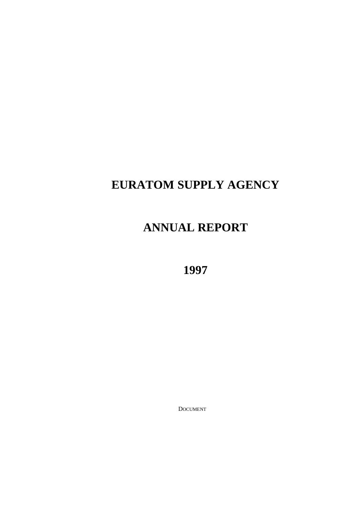# **EURATOM SUPPLY AGENCY**

# **ANNUAL REPORT**

**1997**

DOCUMENT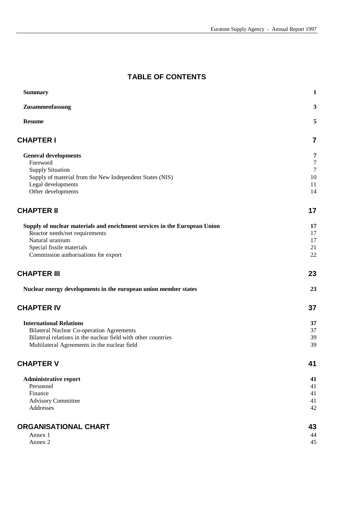# **TABLE OF CONTENTS**

| <b>Summary</b>                                                                 | $\mathbf{1}$   |
|--------------------------------------------------------------------------------|----------------|
| Zusammenfassung                                                                | 3              |
| <b>Resume</b>                                                                  | 5              |
| <b>CHAPTER I</b>                                                               | 7              |
| <b>General developments</b>                                                    | 7              |
| Foreword                                                                       | $\tau$         |
| <b>Supply Situation</b>                                                        | $\overline{7}$ |
| Supply of material from the New Independent States (NIS)<br>Legal developments | 10<br>11       |
| Other developments                                                             | 14             |
| <b>CHAPTER II</b>                                                              | 17             |
| Supply of nuclear materials and enrichment services in the European Union      | 17             |
| Reactor needs/net requirements                                                 | 17             |
| Natural uranium                                                                | 17             |
| Special fissile materials<br>Commission authorisations for export              | 21<br>22       |
| <b>CHAPTER III</b>                                                             | 23             |
| Nuclear energy developments in the european union member states                | 23             |
| <b>CHAPTER IV</b>                                                              | 37             |
| <b>International Relations</b>                                                 | 37             |
| <b>Bilateral Nuclear Co-operation Agreements</b>                               | 37             |
| Bilateral relations in the nuclear field with other countries                  | 39             |
| Multilateral Agreements in the nuclear field                                   | 39             |
| <b>CHAPTER V</b>                                                               | 41             |
| <b>Administrative report</b>                                                   | 41             |
| Personnel                                                                      | 41             |
| Finance                                                                        | 41             |
| <b>Advisory Committee</b><br>Addresses                                         | 41<br>42       |
|                                                                                |                |
| ORGANISATIONAL CHART                                                           | 43             |
| Annex 1                                                                        | 44             |
| Annex 2                                                                        | 45             |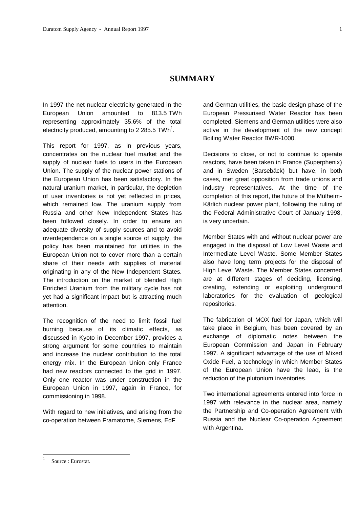# **SUMMARY**

In 1997 the net nuclear electricity generated in the European Union amounted to 813.5 TWh representing approximately 35.6% of the total electricity produced, amounting to 2 285.5 TWh<sup>1</sup>.

This report for 1997, as in previous years, concentrates on the nuclear fuel market and the supply of nuclear fuels to users in the European Union. The supply of the nuclear power stations of the European Union has been satisfactory. In the natural uranium market, in particular, the depletion of user inventories is not yet reflected in prices, which remained low. The uranium supply from Russia and other New Independent States has been followed closely. In order to ensure an adequate diversity of supply sources and to avoid overdependence on a single source of supply, the policy has been maintained for utilities in the European Union not to cover more than a certain share of their needs with supplies of material originating in any of the New Independent States. The introduction on the market of blended High Enriched Uranium from the military cycle has not yet had a significant impact but is attracting much attention.

The recognition of the need to limit fossil fuel burning because of its climatic effects, as discussed in Kyoto in December 1997, provides a strong argument for some countries to maintain and increase the nuclear contribution to the total energy mix. In the European Union only France had new reactors connected to the grid in 1997. Only one reactor was under construction in the European Union in 1997, again in France, for commissioning in 1998.

With regard to new initiatives, and arising from the co-operation between Framatome, Siemens, EdF

and German utilities, the basic design phase of the European Pressurised Water Reactor has been completed. Siemens and German utilities were also active in the development of the new concept Boiling Water Reactor BWR-1000.

Decisions to close, or not to continue to operate reactors, have been taken in France (Superphenix) and in Sweden (Barsebäck) but have, in both cases, met great opposition from trade unions and industry representatives. At the time of the completion of this report, the future of the Mülheim-Kärlich nuclear power plant, following the ruling of the Federal Administrative Court of January 1998, is very uncertain.

Member States with and without nuclear power are engaged in the disposal of Low Level Waste and Intermediate Level Waste. Some Member States also have long term projects for the disposal of High Level Waste. The Member States concerned are at different stages of deciding, licensing, creating, extending or exploiting underground laboratories for the evaluation of geological repositories.

The fabrication of MOX fuel for Japan, which will take place in Belgium, has been covered by an exchange of diplomatic notes between the European Commission and Japan in February 1997. A significant advantage of the use of Mixed Oxide Fuel, a technology in which Member States of the European Union have the lead, is the reduction of the plutonium inventories.

Two international agreements entered into force in 1997 with relevance in the nuclear area, namely the Partnership and Co-operation Agreement with Russia and the Nuclear Co-operation Agreement with Argentina.

-

<sup>1</sup> Source : Eurostat.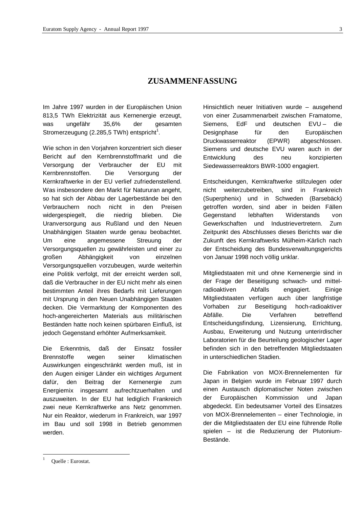# **ZUSAMMENFASSUNG**

Im Jahre 1997 wurden in der Europäischen Union 813,5 TWh Elektrizität aus Kernenergie erzeugt, was ungefähr 35,6% der gesamten Stromerzeugung (2.285,5 TWh) entspricht $^1$ .

Wie schon in den Vorjahren konzentriert sich dieser Bericht auf den Kernbrennstoffmarkt und die Versorgung der Verbraucher der EU mit Kernbrennstoffen. Die Versorgung der Kernkraftwerke in der EU verlief zufriedenstellend. Was insbesondere den Markt für Natururan angeht, so hat sich der Abbau der Lagerbestände bei den Verbrauchern noch nicht in den Preisen widergespiegelt, die niedrig blieben. Die Uranversorgung aus Rußland und den Neuen Unabhängigen Staaten wurde genau beobachtet. Um eine angemessene Streuung der Versorgungsquellen zu gewährleisten und einer zu großen Abhängigkeit von einzelnen Versorgungsquellen vorzubeugen, wurde weiterhin eine Politik verfolgt, mit der erreicht werden soll, daß die Verbraucher in der EU nicht mehr als einen bestimmten Anteil ihres Bedarfs mit Lieferungen mit Ursprung in den Neuen Unabhängigen Staaten decken. Die Vermarktung der Komponenten des hoch-angereicherten Materials aus militärischen Beständen hatte noch keinen spürbaren Einfluß, ist jedoch Gegenstand erhöhter Aufmerksamkeit.

Die Erkenntnis, daß der Einsatz fossiler Brennstoffe wegen seiner klimatischen Auswirkungen eingeschränkt werden muß, ist in den Augen einiger Länder ein wichtiges Argument dafür, den Beitrag der Kernenergie zum Energiemix insgesamt aufrechtzuerhalten und auszuweiten. In der EU hat lediglich Frankreich zwei neue Kernkraftwerke ans Netz genommen. Nur ein Reaktor, wiederum in Frankreich, war 1997 im Bau und soll 1998 in Betrieb genommen werden.

Hinsichtlich neuer Initiativen wurde – ausgehend von einer Zusammenarbeit zwischen Framatome, Siemens, EdF und deutschen EVU – die Designphase für den Europäischen Druckwasserreaktor (EPWR) abgeschlossen. Siemens und deutsche EVU waren auch in der Entwicklung des neu konzipierten Siedewasserreaktors BWR-1000 engagiert.

Entscheidungen, Kernkraftwerke stillzulegen oder nicht weiterzubetreiben, sind in Frankreich (Superphenix) und in Schweden (Barsebäck) getroffen worden, sind aber in beiden Fällen Gegenstand lebhaften Widerstands von Gewerkschaften und Industrievertretern. Zum Zeitpunkt des Abschlusses dieses Berichts war die Zukunft des Kernkraftwerks Mülheim-Kärlich nach der Entscheidung des Bundesverwaltungsgerichts von Januar 1998 noch völlig unklar.

Mitgliedstaaten mit und ohne Kernenergie sind in der Frage der Beseitigung schwach- und mittelradioaktiven Abfalls engagiert. Einige Mitgliedstaaten verfügen auch über langfristige Vorhaben zur Beseitigung hoch-radioaktiver Abfälle. Die Verfahren betreffend Entscheidungsfindung, Lizensierung, Errichtung, Ausbau, Erweiterung und Nutzung unterirdischer Laboratorien für die Beurteilung geologischer Lager befinden sich in den betreffenden Mitgliedstaaten in unterschiedlichen Stadien.

Die Fabrikation von MOX-Brennelementen für Japan in Belgien wurde im Februar 1997 durch einen Austausch diplomatischer Noten zwischen der Europäischen Kommission und Japan abgedeckt. Ein bedeutsamer Vorteil des Einsatzes von MOX-Brennelementen – einer Technologie, in der die Mitgliedstaaten der EU eine führende Rolle spielen – ist die Reduzierung der Plutonium-Bestände.

-

Ouelle : Eurostat.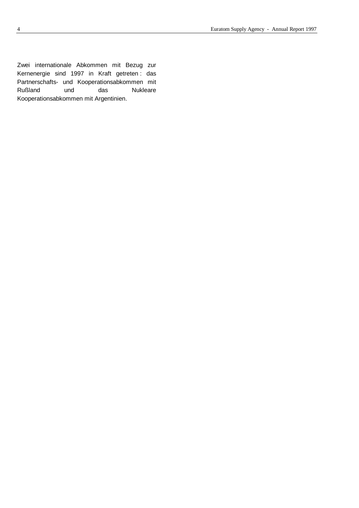Zwei internationale Abkommen mit Bezug zur Kernenergie sind 1997 in Kraft getreten : das Partnerschafts- und Kooperationsabkommen mit Rußland und das Nukleare Kooperationsabkommen mit Argentinien.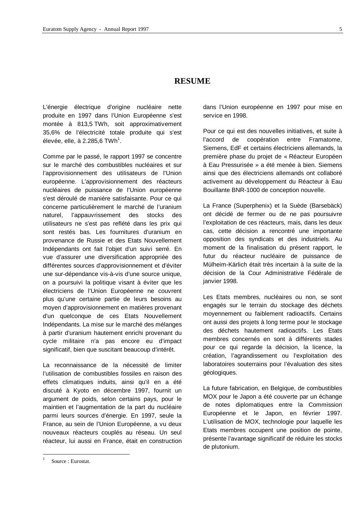# **RESUME**

L'énergie électrique d'origine nucléaire nette produite en 1997 dans l'Union Européenne s'est montée à 813,5 TWh, soit approximativement 35,6% de l'électricité totale produite qui s'est élevée, elle, à 2.285,6 TWh $^{\rm 1}.$ 

Comme par le passé, le rapport 1997 se concentre sur le marché des combustibles nucléaires et sur l'approvisionnement des utilisateurs de l'Union européenne. L'approvisionnement des réacteurs nucléaires de puissance de l'Union européenne s'est déroulé de manière satisfaisante. Pour ce qui concerne particulièrement le marché de l'uranium naturel, l'appauvrissement des stocks des utilisateurs ne s'est pas reflété dans les prix qui sont restés bas. Les fournitures d'uranium en provenance de Russie et des Etats Nouvellement Indépendants ont fait l'objet d'un suivi serré. En vue d'assurer une diversification appropriée des différentes sources d'approvisionnement et d'éviter une sur-dépendance vis-à-vis d'une source unique, on a poursuivi la politique visant à éviter que les électriciens de l'Union Européenne ne couvrent plus qu'une certaine partie de leurs besoins au moyen d'approvisionnement en matières provenant d'un quelconque de ces Etats Nouvellement Indépendants. La mise sur le marché des mélanges à partir d'uranium hautement enrichi provenant du cycle militaire n'a pas encore eu d'impact significatif, bien que suscitant beaucoup d'intérêt.

La reconnaissance de la nécessité de limiter l'utilisation de combustibles fossiles en raison des effets climatiques induits, ainsi qu'il en a été discuté à Kyoto en décembre 1997, fournit un argument de poids, selon certains pays, pour le maintien et l'augmentation de la part du nucléaire parmi leurs sources d'énergie. En 1997, seule la France, au sein de l'Union Européenne, a vu deux nouveaux réacteurs couplés au réseau. Un seul réacteur, lui aussi en France, était en construction

Pour ce qui est des nouvelles initiatives, et suite à l'accord de coopération entre Framatome, Siemens, EdF et certains électriciens allemands, la première phase du projet de « Réacteur Européen à Eau Pressurisée » a été menée à bien. Siemens ainsi que des électriciens allemands ont collaboré activement au développement du Réacteur à Eau Bouillante BNR-1000 de conception nouvelle.

La France (Superphenix) et la Suède (Barsebäck) ont décidé de fermer ou de ne pas poursuivre l'exploitation de ces réacteurs, mais, dans les deux cas, cette décision a rencontré une importante opposition des syndicats et des industriels. Au moment de la finalisation du présent rapport, le futur du réacteur nucléaire de puissance de Mülheim-Kärlich était très incertain à la suite de la décision de la Cour Administrative Fédérale de janvier 1998.

Les Etats membres, nucléaires ou non, se sont engagés sur le terrain du stockage des déchets moyennement ou faiblement radioactifs. Certains ont aussi des projets à long terme pour le stockage des déchets hautement radioactifs. Les Etats membres concernés en sont à différents stades pour ce qui regarde la décision, la licence, la création, l'agrandissement ou l'exploitation des laboratoires souterrains pour l'évaluation des sites géologiques.

La future fabrication, en Belgique, de combustibles MOX pour le Japon a été couverte par un échange de notes diplomatiques entre la Commission Européenne et le Japon, en février 1997. L'utilisation de MOX, technologie pour laquelle les Etats membres occupent une position de pointe, présente l'avantage significatif de réduire les stocks de plutonium.

-

dans l'Union européenne en 1997 pour mise en service en 1998.

<sup>1</sup> Source : Eurostat.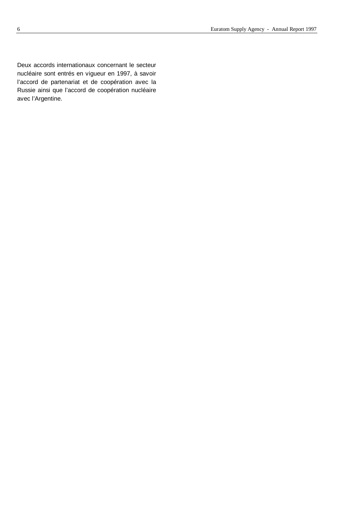Deux accords internationaux concernant le secteur nucléaire sont entrés en vigueur en 1997, à savoir l'accord de partenariat et de coopération avec la Russie ainsi que l'accord de coopération nucléaire avec l'Argentine.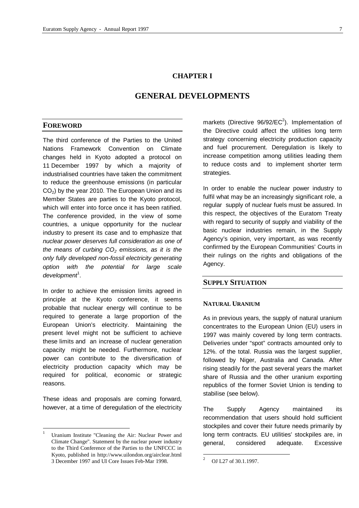# **CHAPTER I**

# **GENERAL DEVELOPMENTS**

# **FOREWORD**

The third conference of the Parties to the United Nations Framework Convention on Climate changes held in Kyoto adopted a protocol on 11 December 1997 by which a majority of industrialised countries have taken the commitment to reduce the greenhouse emissions (in particular  $CO<sub>2</sub>$ ) by the year 2010. The European Union and its Member States are parties to the Kyoto protocol, which will enter into force once it has been ratified. The conference provided, in the view of some countries, a unique opportunity for the nuclear industry to present its case and to emphasize that *nuclear power deserves full consideration as one of the means of curbing CO2 emissions, as it is the only fully developed non-fossil electricity generating option with the potential for large scale* development<sup>1</sup>.

In order to achieve the emission limits agreed in principle at the Kyoto conference, it seems probable that nuclear energy will continue to be required to generate a large proportion of the European Union's electricity. Maintaining the present level might not be sufficient to achieve these limits and an increase of nuclear generation capacity might be needed. Furthermore, nuclear power can contribute to the diversification of electricity production capacity which may be required for political, economic or strategic reasons.

These ideas and proposals are coming forward, however, at a time of deregulation of the electricity

l

markets (Directive  $96/92$ /EC<sup>2</sup>). Implementation of the Directive could affect the utilities long term strategy concerning electricity production capacity and fuel procurement. Deregulation is likely to increase competition among utilities leading them to reduce costs and to implement shorter term strategies.

In order to enable the nuclear power industry to fulfil what may be an increasingly significant role, a regular supply of nuclear fuels must be assured. In this respect, the objectives of the Euratom Treaty with regard to security of supply and viability of the basic nuclear industries remain, in the Supply Agency's opinion, very important, as was recently confirmed by the European Communities' Courts in their rulings on the rights and obligations of the Agency.

# **SUPPLY SITUATION**

#### **NATURAL URANIUM**

As in previous years, the supply of natural uranium concentrates to the European Union (EU) users in 1997 was mainly covered by long term contracts. Deliveries under "spot" contracts amounted only to 12%. of the total. Russia was the largest supplier, followed by Niger, Australia and Canada. After rising steadily for the past several years the market share of Russia and the other uranium exporting republics of the former Soviet Union is tending to stabilise (see below).

The Supply Agency maintained its recommendation that users should hold sufficient stockpiles and cover their future needs primarily by long term contracts. EU utilities' stockpiles are, in general, considered adequate. Excessive

-

Uranium Institute "Cleaning the Air: Nuclear Power and Climate Change". Statement by the nuclear power industry to the Third Conference of the Parties to the UNFCCC in Kyoto, published in http://www.uilondon.org/airclear.html 3 December 1997 and UI Core Issues Feb-Mar 1998.

<sup>2</sup> OJ L27 of 30.1.1997.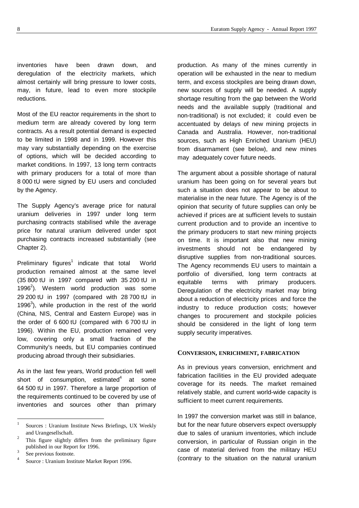inventories have been drawn down, and deregulation of the electricity markets, which almost certainly will bring pressure to lower costs, may, in future, lead to even more stockpile reductions.

Most of the EU reactor requirements in the short to medium term are already covered by long term contracts. As a result potential demand is expected to be limited in 1998 and in 1999. However this may vary substantially depending on the exercise of options, which will be decided according to market conditions. In 1997, 13 long term contracts with primary producers for a total of more than 8 000 tU were signed by EU users and concluded by the Agency.

The Supply Agency's average price for natural uranium deliveries in 1997 under long term purchasing contracts stabilised while the average price for natural uranium delivered under spot purchasing contracts increased substantially (see Chapter 2).

Preliminary figures<sup>1</sup> indicate that total World production remained almost at the same level (35 800 tU in 1997 compared with 35 200 tU in 1996<sup>2</sup>). Western world production was some 29 200 tU in 1997 (compared with 28 700 tU in 1996 $3$ ), while production in the rest of the world (China, NIS, Central and Eastern Europe) was in the order of 6 600 tU (compared with 6 700 tU in 1996). Within the EU, production remained very low, covering only a small fraction of the Community's needs, but EU companies continued producing abroad through their subsidiaries.

As in the last few years, World production fell well short of consumption, estimated $4$  at some 64 500 tU in 1997. Therefore a large proportion of the requirements continued to be covered by use of inventories and sources other than primary production. As many of the mines currently in operation will be exhausted in the near to medium term, and excess stockpiles are being drawn down, new sources of supply will be needed. A supply shortage resulting from the gap between the World needs and the available supply (traditional and non-traditional) is not excluded; it could even be accentuated by delays of new mining projects in Canada and Australia. However, non-traditional sources, such as High Enriched Uranium (HEU) from disarmament (see below), and new mines may adequately cover future needs.

The argument about a possible shortage of natural uranium has been going on for several years but such a situation does not appear to be about to materialise in the near future. The Agency is of the opinion that security of future supplies can only be achieved if prices are at sufficient levels to sustain current production and to provide an incentive to the primary producers to start new mining projects on time. It is important also that new mining investments should not be endangered by disruptive supplies from non-traditional sources. The Agency recommends EU users to maintain a portfolio of diversified, long term contracts at equitable terms with primary producers. Deregulation of the electricity market may bring about a reduction of electricity prices and force the industry to reduce production costs; however changes to procurement and stockpile policies should be considered in the light of long term supply security imperatives.

# **CONVERSION, ENRICHMENT, FABRICATION**

As in previous years conversion, enrichment and fabrication facilities in the EU provided adequate coverage for its needs. The market remained relatively stable, and current world-wide capacity is sufficient to meet current requirements.

In 1997 the conversion market was still in balance, but for the near future observers expect oversupply due to sales of uranium inventories, which include conversion, in particular of Russian origin in the case of material derived from the military HEU (contrary to the situation on the natural uranium

 $\frac{1}{1}$ Sources : Uranium Institute News Briefings, UX Weekly and Urangesellschaft.

<sup>2</sup> This figure slightly differs from the preliminary figure published in our Report for 1996. 3

See previous footnote. 4

Source : Uranium Institute Market Report 1996.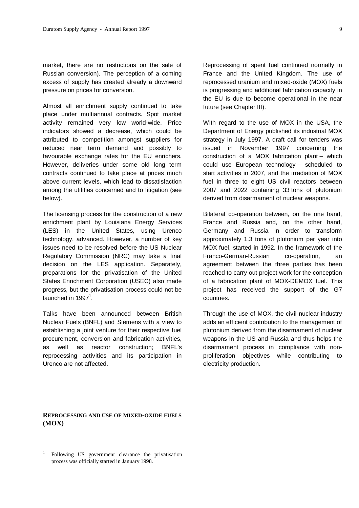market, there are no restrictions on the sale of Russian conversion). The perception of a coming excess of supply has created already a downward pressure on prices for conversion.

Almost all enrichment supply continued to take place under multiannual contracts. Spot market activity remained very low world-wide. Price indicators showed a decrease, which could be attributed to competition amongst suppliers for reduced near term demand and possibly to favourable exchange rates for the EU enrichers. However, deliveries under some old long term contracts continued to take place at prices much above current levels, which lead to dissatisfaction among the utilities concerned and to litigation (see below).

The licensing process for the construction of a new enrichment plant by Louisiana Energy Services (LES) in the United States, using Urenco technology, advanced. However, a number of key issues need to be resolved before the US Nuclear Regulatory Commission (NRC) may take a final decision on the LES application. Separately, preparations for the privatisation of the United States Enrichment Corporation (USEC) also made progress, but the privatisation process could not be launched in 1997<sup>1</sup>.

Talks have been announced between British Nuclear Fuels (BNFL) and Siemens with a view to establishing a joint venture for their respective fuel procurement, conversion and fabrication activities, as well as reactor construction; BNFL's reprocessing activities and its participation in Urenco are not affected.

Reprocessing of spent fuel continued normally in France and the United Kingdom. The use of reprocessed uranium and mixed-oxide (MOX) fuels is progressing and additional fabrication capacity in the EU is due to become operational in the near future (see Chapter III).

With regard to the use of MOX in the USA, the Department of Energy published its industrial MOX strategy in July 1997. A draft call for tenders was issued in November 1997 concerning the construction of a MOX fabrication plant – which could use European technology – scheduled to start activities in 2007, and the irradiation of MOX fuel in three to eight US civil reactors between 2007 and 2022 containing 33 tons of plutonium derived from disarmament of nuclear weapons.

Bilateral co-operation between, on the one hand, France and Russia and, on the other hand, Germany and Russia in order to transform approximately 1.3 tons of plutonium per year into MOX fuel, started in 1992. In the framework of the Franco-German-Russian co-operation, an agreement between the three parties has been reached to carry out project work for the conception of a fabrication plant of MOX-DEMOX fuel. This project has received the support of the G7 countries.

Through the use of MOX, the civil nuclear industry adds an efficient contribution to the management of plutonium derived from the disarmament of nuclear weapons in the US and Russia and thus helps the disarmament process in compliance with nonproliferation objectives while contributing to electricity production.

# **REPROCESSING AND USE OF MIXED-OXIDE FUELS (MOX)**

l

<sup>1</sup> Following US government clearance the privatisation process was officially started in January 1998.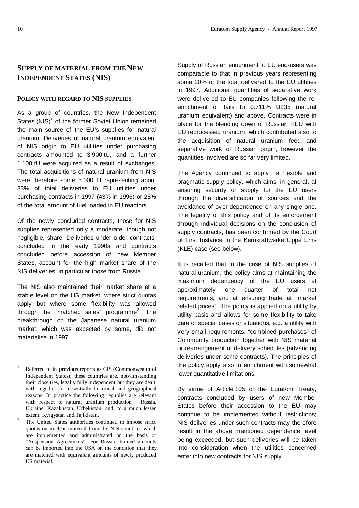# **SUPPLY OF MATERIAL FROM THE NEW INDEPENDENT STATES (NIS)**

#### **POLICY WITH REGARD TO NIS SUPPLIES**

As a group of countries, the New Independent States  $(NIS)^1$  of the former Soviet Union remained the main source of the EU's supplies for natural uranium. Deliveries of natural uranium equivalent of NIS origin to EU utilities under purchasing contracts amounted to 3 900 tU, and a further 1 100 tU were acquired as a result of exchanges. The total acquisitions of natural uranium from NIS were therefore some 5 000 tU representing about 33% of total deliveries to EU utilities under purchasing contracts in 1997 (43% in 1996) or 28% of the total amount of fuel loaded in EU reactors.

Of the newly concluded contracts, those for NIS supplies represented only a moderate, though not negligible, share. Deliveries under older contracts, concluded in the early 1990s and contracts concluded before accession of new Member States, account for the high market share of the NIS deliveries, in particular those from Russia.

The NIS also maintained their market share at a stable level on the US market, where strict quotas apply but where some flexibility was allowed through the "matched sales" programme<sup>2</sup>. The breakthrough on the Japanese natural uranium market, which was expected by some, did not materialise in 1997.

Supply of Russian enrichment to EU end-users was comparable to that in previous years representing some 20% of the total delivered to the EU utilities in 1997. Additional quantities of separative work were delivered to EU companies following the reenrichment of tails to 0.711% U235 (natural uranium equivalent) and above. Contracts were in place for the blending down of Russian HEU with EU reprocessed uranium, which contributed also to the acquisition of natural uranium feed and separative work of Russian origin, however the quantities involved are so far very limited.

The Agency continued to apply a flexible and pragmatic supply policy, which aims, in general, at ensuring security of supply for the EU users through the diversification of sources and the avoidance of over-dependence on any single one. The legality of this policy and of its enforcement through individual decisions on the conclusion of supply contracts, has been confirmed by the Court of First Instance in the Kernkraftwerke Lippe Ems (KLE) case (see below).

It is recalled that in the case of NIS supplies of natural uranium, the policy aims at maintaining the maximum dependency of the EU users at approximately one quarter of total net requirements, and at ensuring trade at "market related prices". The policy is applied on a utility by utility basis and allows for some flexibility to take care of special cases or situations, e.g. a utility with very small requirements, "combined purchases" of Community production together with NIS material or rearrangement of delivery schedules (advancing deliveries under some contracts). The principles of the policy apply also to enrichment with somewhat lower quantitative limitations.

By virtue of Article 105 of the Euratom Treaty, contracts concluded by users of new Member States before their accession to the EU may continue to be implemented without restrictions; NIS deliveries under such contracts may therefore result in the above mentioned dependence level being exceeded, but such deliveries will be taken into consideration when the utilities concerned enter into new contracts for NIS supply.

 $\frac{1}{1}$ Referred to in previous reports as CIS (Commonwealth of Independent States); these countries are, notwithstanding their close ties, legally fully independent but they are dealt with together for essentially historical and geographical reasons. In practice the following republics are relevant with respect to natural uranium production : Russia, Ukraine, Kazakhstan, Uzbekistan, and, to a much lesser extent, Kyrgystan and Tajikistan.

<sup>2</sup> The United States authorities continued to impose strict quotas on nuclear material from the NIS countries which are implemented and administrated on the basis of "Suspension Agreements". For Russia, limited amounts can be imported into the USA on the condition that they are matched with equivalent amounts of newly produced US material.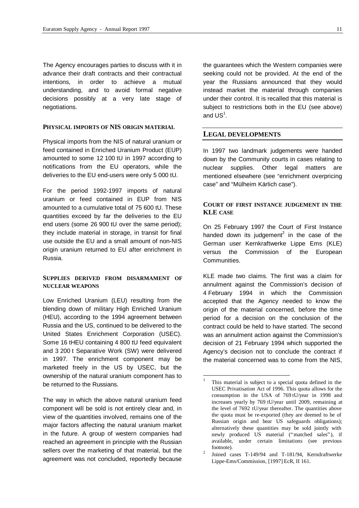The Agency encourages parties to discuss with it in advance their draft contracts and their contractual intentions, in order to achieve a mutual understanding, and to avoid formal negative decisions possibly at a very late stage of negotiations.

#### **PHYSICAL IMPORTS OF NIS ORIGIN MATERIAL**

Physical imports from the NIS of natural uranium or feed contained in Enriched Uranium Product (EUP) amounted to some 12 100 tU in 1997 according to notifications from the EU operators, while the deliveries to the EU end-users were only 5 000 tU.

For the period 1992-1997 imports of natural uranium or feed contained in EUP from NIS amounted to a cumulative total of 75 600 tU. These quantities exceed by far the deliveries to the EU end users (some 26 900 tU over the same period); they include material in storage, in transit for final use outside the EU and a small amount of non-NIS origin uranium returned to EU after enrichment in Russia.

# **SUPPLIES DERIVED FROM DISARMAMENT OF NUCLEAR WEAPONS**

Low Enriched Uranium (LEU) resulting from the blending down of military High Enriched Uranium (HEU), according to the 1994 agreement between Russia and the US, continued to be delivered to the United States Enrichment Corporation (USEC). Some 16 tHEU containing 4 800 tU feed equivalent and 3 200 t Separative Work (SW) were delivered in 1997. The enrichment component may be marketed freely in the US by USEC, but the ownership of the natural uranium component has to be returned to the Russians.

The way in which the above natural uranium feed component will be sold is not entirely clear and, in view of the quantities involved, remains one of the major factors affecting the natural uranium market in the future. A group of western companies had reached an agreement in principle with the Russian sellers over the marketing of that material, but the agreement was not concluded, reportedly because

the guarantees which the Western companies were seeking could not be provided. At the end of the year the Russians announced that they would instead market the material through companies under their control. It is recalled that this material is subject to restrictions both in the EU (see above) and  $US^1$ .

# **LEGAL DEVELOPMENTS**

In 1997 two landmark judgements were handed down by the Community courts in cases relating to nuclear supplies. Other legal matters are mentioned elsewhere (see "enrichment overpricing case" and "Mülheim Kärlich case").

# **COURT OF FIRST INSTANCE JUDGEMENT IN THE KLE CASE**

On 25 February 1997 the Court of First Instance handed down its judgement<sup>2</sup> in the case of the German user Kernkraftwerke Lippe Ems (KLE) versus the Commission of the European Communities.

KLE made two claims. The first was a claim for annulment against the Commission's decision of 4 February 1994 in which the Commission accepted that the Agency needed to know the origin of the material concerned, before the time period for a decision on the conclusion of the contract could be held to have started. The second was an annulment action against the Commission's decision of 21 February 1994 which supported the Agency's decision not to conclude the contract if the material concerned was to come from the NIS,

l

<sup>1</sup> This material is subject to a special quota defined in the USEC Privatisation Act of 1996. This quota allows for the consumption in the USA of 769 tU/year in 1998 and increases yearly by 769 tU/year until 2009, remaining at the level of 7692 tU/year thereafter. The quantities above the quota must be re-exported (they are deemed to be of Russian origin and bear US safeguards obligations); alternatively these quantities may be sold jointly with newly produced US material ("matched sales"), if available, under certain limitations (see previous footnote).

<sup>2</sup> Joined cases T-149/94 and T-181/94, Kerndraftwerke Lippe-Ems/Commission, [1997] EcR, II 161.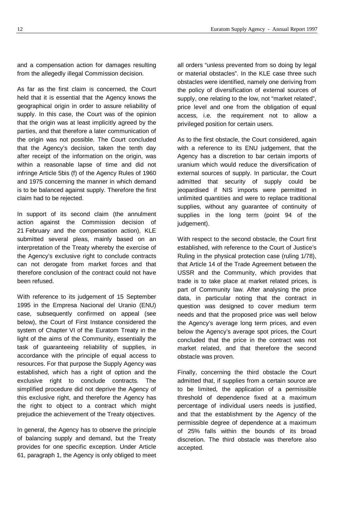and a compensation action for damages resulting from the allegedly illegal Commission decision.

As far as the first claim is concerned, the Court held that it is essential that the Agency knows the geographical origin in order to assure reliability of supply. In this case, the Court was of the opinion that the origin was at least implicitly agreed by the parties, and that therefore a later communication of the origin was not possible. The Court concluded that the Agency's decision, taken the tenth day after receipt of the information on the origin, was within a reasonable lapse of time and did not infringe Article 5bis (f) of the Agency Rules of 1960 and 1975 concerning the manner in which demand is to be balanced against supply. Therefore the first claim had to be rejected.

In support of its second claim (the annulment action against the Commission decision of 21 February and the compensation action), KLE submitted several pleas, mainly based on an interpretation of the Treaty whereby the exercise of the Agency's exclusive right to conclude contracts can not derogate from market forces and that therefore conclusion of the contract could not have been refused.

With reference to its judgement of 15 September 1995 in the Empresa Nacional del Uranio (ENU) case, subsequently confirmed on appeal (see below), the Court of First Instance considered the system of Chapter VI of the Euratom Treaty in the light of the aims of the Community, essentially the task of guaranteeing reliability of supplies, in accordance with the principle of equal access to resources. For that purpose the Supply Agency was established, which has a right of option and the exclusive right to conclude contracts. The simplified procedure did not deprive the Agency of this exclusive right, and therefore the Agency has the right to object to a contract which might prejudice the achievement of the Treaty objectives.

In general, the Agency has to observe the principle of balancing supply and demand, but the Treaty provides for one specific exception. Under Article 61, paragraph 1, the Agency is only obliged to meet all orders "unless prevented from so doing by legal or material obstacles". In the KLE case three such obstacles were identified, namely one deriving from the policy of diversification of external sources of supply, one relating to the low, not "market related", price level and one from the obligation of equal access, i.e. the requirement not to allow a privileged position for certain users.

As to the first obstacle, the Court considered, again with a reference to its ENU judgement, that the Agency has a discretion to bar certain imports of uranium which would reduce the diversification of external sources of supply. In particular, the Court admitted that security of supply could be jeopardised if NIS imports were permitted in unlimited quantities and were to replace traditional supplies, without any guarantee of continuity of supplies in the long term (point 94 of the judgement).

With respect to the second obstacle, the Court first established, with reference to the Court of Justice's Ruling in the physical protection case (ruling 1/78), that Article 14 of the Trade Agreement between the USSR and the Community, which provides that trade is to take place at market related prices, is part of Community law. After analysing the price data, in particular noting that the contract in question was designed to cover medium term needs and that the proposed price was well below the Agency's average long term prices, and even below the Agency's average spot prices, the Court concluded that the price in the contract was not market related, and that therefore the second obstacle was proven.

Finally, concerning the third obstacle the Court admitted that, if supplies from a certain source are to be limited, the application of a permissible threshold of dependence fixed at a maximum percentage of individual users needs is justified, and that the establishment by the Agency of the permissible degree of dependence at a maximum of 25% falls within the bounds of its broad discretion. The third obstacle was therefore also accepted.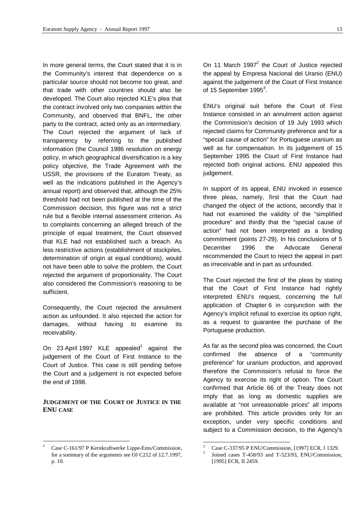In more general terms, the Court stated that it is in the Community's interest that dependence on a particular source should not become too great, and that trade with other countries should also be developed. The Court also rejected KLE's plea that the contract involved only two companies within the Community, and observed that BNFL, the other party to the contract, acted only as an intermediary. The Court rejected the argument of lack of transparency by referring to the published information (the Council 1986 resolution on energy policy, in which geographical diversification is a key policy objective, the Trade Agreement with the USSR, the provisions of the Euratom Treaty, as well as the indications published in the Agency's annual report) and observed that, although the 25% threshold had not been published at the time of the Commission decision, this figure was not a strict rule but a flexible internal assessment criterion. As to complaints concerning an alleged breach of the principle of equal treatment, the Court observed that KLE had not established such a breach. As less restrictive actions (establishment of stockpiles, determination of origin at equal conditions), would not have been able to solve the problem, the Court rejected the argument of proportionality. The Court also considered the Commission's reasoning to be sufficient.

Consequently, the Court rejected the annulment action as unfounded. It also rejected the action for damages, without having to examine its receivability.

On 23 April 1997 KLE appealed<sup>1</sup> against the judgement of the Court of First Instance to the Court of Justice. This case is still pending before the Court and a judgement is not expected before the end of 1998.

# **JUDGEMENT OF THE COURT OF JUSTICE IN THE ENU CASE**

l

On 11 March 1997 $^2$  the Court of Justice rejected the appeal by Empresa Nacional del Uranio (ENU) against the judgement of the Court of First Instance of 15 September 1995 $^3$ .

ENU's original suit before the Court of First Instance consisted in an annulment action against the Commission's decision of 19 July 1993 which rejected claims for Community preference and for a "special cause of action" for Portuguese uranium as well as for compensation. In its judgement of 15 September 1995 the Court of First Instance had rejected both original actions. ENU appealed this judgement.

In support of its appeal, ENU invoked in essence three pleas, namely, first that the Court had changed the object of the actions, secondly that it had not examined the validity of the "simplified procedure" and thirdly that the "special cause of action" had not been interpreted as a binding commitment (points 27-29). In his conclusions of 5 December 1996 the Advocate General recommended the Court to reject the appeal in part as irreceivable and in part as unfounded.

The Court rejected the first of the pleas by stating that the Court of First Instance had rightly interpreted ENU's request, concerning the full application of Chapter 6 in conjunction with the Agency's implicit refusal to exercise its option right, as a request to guarantee the purchase of the Portuguese production.

As far as the second plea was concerned, the Court confirmed the absence of a "community preference" for uranium production, and approved therefore the Commission's refusal to force the Agency to exercise its right of option. The Court confirmed that Article 66 of the Treaty does not imply that as long as domestic supplies are available at "not unreasonable prices" all imports are prohibited. This article provides only for an exception, under very specific conditions and subject to a Commission decision, to the Agency's

l

<sup>1</sup> Case C-161/97 P Kernkraftwerke Lippe-Ems/Commission, for a summary of the arguments see OJ C212 of 12.7.1997, p. 10.

<sup>2</sup> Case C-337/95 P ENU/Commission, [1997] ECR, I 1329.

<sup>3</sup> Joined cases T-458/93 and T-523/93, ENU/Commission, [1995] ECR, II 2459.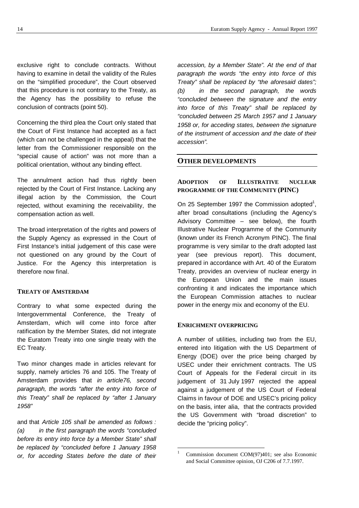exclusive right to conclude contracts. Without having to examine in detail the validity of the Rules on the "simplified procedure", the Court observed that this procedure is not contrary to the Treaty, as the Agency has the possibility to refuse the conclusion of contracts (point 50).

Concerning the third plea the Court only stated that the Court of First Instance had accepted as a fact (which can not be challenged in the appeal) that the letter from the Commissioner responsible on the "special cause of action" was not more than a political orientation, without any binding effect.

The annulment action had thus rightly been rejected by the Court of First Instance. Lacking any illegal action by the Commission, the Court rejected, without examining the receivability, the compensation action as well.

The broad interpretation of the rights and powers of the Supply Agency as expressed in the Court of First Instance's initial judgement of this case were not questioned on any ground by the Court of Justice. For the Agency this interpretation is therefore now final.

# **TREATY OF AMSTERDAM**

Contrary to what some expected during the Intergovernmental Conference, the Treaty of Amsterdam, which will come into force after ratification by the Member States, did not integrate the Euratom Treaty into one single treaty with the EC Treaty.

Two minor changes made in articles relevant for supply, namely articles 76 and 105. The Treaty of Amsterdam provides that *in article76, second paragraph, the words "after the entry into force of this Treaty" shall be replaced by "after 1 January 1958"*

and that *Article 105 shall be amended as follows : (a) in the first paragraph the words "concluded before its entry into force by a Member State" shall be replaced by "concluded before 1 January 1958 or, for acceding States before the date of their* *accession, by a Member State". At the end of that paragraph the words "the entry into force of this Treaty" shall be replaced by "the aforesaid dates"; (b) in the second paragraph, the words "concluded between the signature and the entry into force of this Treaty" shall be replaced by "concluded between 25 March 1957 and 1 January 1958 or, for acceding states, between the signature of the instrument of accession and the date of their accession".*

# **OTHER DEVELOPMENTS**

# **ADOPTION OF ILLUSTRATIVE NUCLEAR PROGRAMME OF THE COMMUNITY (PINC)**

On 25 September 1997 the Commission adopted<sup>1</sup>, after broad consultations (including the Agency's Advisory Committee – see below), the fourth Illustrative Nuclear Programme of the Community (known under its French Acronym PINC). The final programme is very similar to the draft adopted last year (see previous report). This document, prepared in accordance with Art. 40 of the Euratom Treaty, provides an overview of nuclear energy in the European Union and the main issues confronting it and indicates the importance which the European Commission attaches to nuclear power in the energy mix and economy of the EU.

# **ENRICHMENT OVERPRICING**

 $\frac{1}{1}$ 

A number of utilities, including two from the EU, entered into litigation with the US Department of Energy (DOE) over the price being charged by USEC under their enrichment contracts. The US Court of Appeals for the Federal circuit in its judgement of 31 July 1997 rejected the appeal against a judgement of the US Court of Federal Claims in favour of DOE and USEC's pricing policy on the basis, inter alia, that the contracts provided the US Government with "broad discretion" to decide the "pricing policy".

Commission document COM(97)401; see also Economic and Social Committee opinion, OJ C206 of 7.7.1997.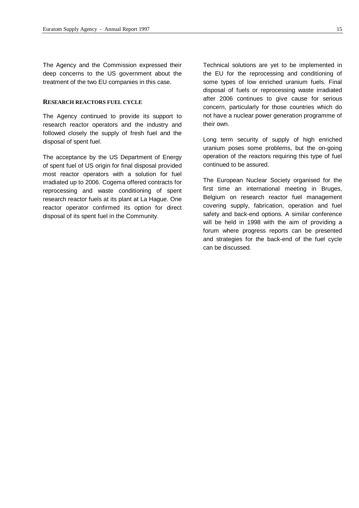The Agency and the Commission expressed their deep concerns to the US government about the treatment of the two EU companies in this case.

# **RESEARCH REACTORS FUEL CYCLE**

The Agency continued to provide its support to research reactor operators and the industry and followed closely the supply of fresh fuel and the disposal of spent fuel.

The acceptance by the US Department of Energy of spent fuel of US origin for final disposal provided most reactor operators with a solution for fuel irradiated up to 2006. Cogema offered contracts for reprocessing and waste conditioning of spent research reactor fuels at its plant at La Hague. One reactor operator confirmed its option for direct disposal of its spent fuel in the Community.

Technical solutions are yet to be implemented in the EU for the reprocessing and conditioning of some types of low enriched uranium fuels. Final disposal of fuels or reprocessing waste irradiated after 2006 continues to give cause for serious concern, particularly for those countries which do not have a nuclear power generation programme of their own.

Long term security of supply of high enriched uranium poses some problems, but the on-going operation of the reactors requiring this type of fuel continued to be assured.

The European Nuclear Society organised for the first time an international meeting in Bruges, Belgium on research reactor fuel management covering supply, fabrication, operation and fuel safety and back-end options. A similar conference will be held in 1998 with the aim of providing a forum where progress reports can be presented and strategies for the back-end of the fuel cycle can be discussed.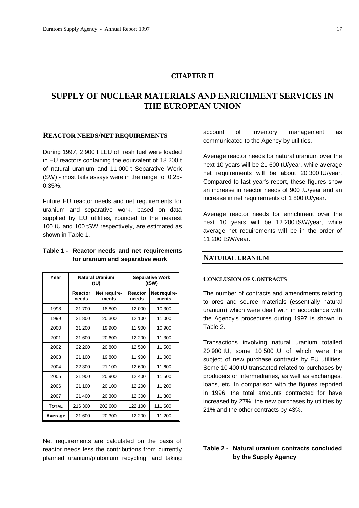# **CHAPTER II**

# **SUPPLY OF NUCLEAR MATERIALS AND ENRICHMENT SERVICES IN THE EUROPEAN UNION**

# **REACTOR NEEDS/NET REQUIREMENTS**

During 1997, 2 900 t LEU of fresh fuel were loaded in EU reactors containing the equivalent of 18 200 t of natural uranium and 11 000 t Separative Work (SW) - most tails assays were in the range of 0.25- 0.35%.

Future EU reactor needs and net requirements for uranium and separative work, based on data supplied by EU utilities, rounded to the nearest 100 tU and 100 tSW respectively, are estimated as shown in Table 1.

# **Table 1 - Reactor needs and net requirements for uranium and separative work**

| Year         | <b>Natural Uranium</b><br>(tU) |                       | <b>Separative Work</b><br>(tSW) |                       |
|--------------|--------------------------------|-----------------------|---------------------------------|-----------------------|
|              | Reactor<br>needs               | Net require-<br>ments | Reactor<br>needs                | Net require-<br>ments |
| 1998         | 21 700                         | 18 800                | 12 000                          | 10 300                |
| 1999         | 21 800                         | 20 300                | 12 100                          | 11 000                |
| 2000         | 21 200                         | 19 900                | 11 900                          | 10 900                |
| 2001         | 21 600                         | 20 600                | 12 200                          | 11 300                |
| 2002         | 22 200                         | 20 800                | 12 500                          | 11 500                |
| 2003         | 21 100                         | 19800                 | 11 900                          | 11 000                |
| 2004         | 22 300                         | 21 100                | 12 600                          | 11 600                |
| 2005         | 21 900                         | 20 900                | 12 400                          | 11 500                |
| 2006         | 21 100                         | 20 100                | 12 200                          | 11 200                |
| 2007         | 21 400                         | 20 300                | 12 300                          | 11 300                |
| <b>TOTAL</b> | 216 300                        | 202 600               | 122 100                         | 111 600               |
| Average      | 21 600                         | 20 300                | 12 200                          | 11 200                |

Net requirements are calculated on the basis of reactor needs less the contributions from currently planned uranium/plutonium recycling, and taking

account of inventory management as communicated to the Agency by utilities.

Average reactor needs for natural uranium over the next 10 years will be 21 600 tU/year, while average net requirements will be about 20 300 tU/year. Compared to last year's report, these figures show an increase in reactor needs of 900 tU/year and an increase in net requirements of 1 800 tU/year.

Average reactor needs for enrichment over the next 10 years will be 12 200 tSW/year, while average net requirements will be in the order of 11 200 tSW/year.

#### **NATURAL URANIUM**

#### **CONCLUSION OF CONTRACTS**

The number of contracts and amendments relating to ores and source materials (essentially natural uranium) which were dealt with in accordance with the Agency's procedures during 1997 is shown in Table 2.

Transactions involving natural uranium totalled 20 900 tU, some 10 500 tU of which were the subject of new purchase contracts by EU utilities. Some 10 400 tU transacted related to purchases by producers or intermediaries, as well as exchanges, loans, etc. In comparison with the figures reported in 1996, the total amounts contracted for have increased by 27%, the new purchases by utilities by 21% and the other contracts by 43%.

# **Table 2 - Natural uranium contracts concluded by the Supply Agency**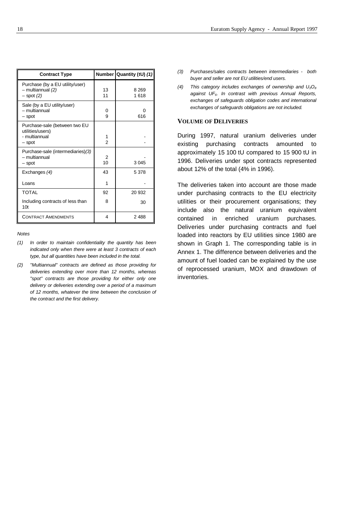| <b>Contract Type</b>                                                         |                      | Number Quantity (tU) (1) |
|------------------------------------------------------------------------------|----------------------|--------------------------|
| Purchase (by a EU utility/user)<br>- multiannual (2)<br>$-$ spot $(2)$       | 13<br>11             | 8 2 6 9<br>1618          |
| Sale (by a EU utility/user)<br>– multiannual<br>- spot                       | 0<br>9               | O<br>616                 |
| Purchase-sale (between two EU<br>utilities/users)<br>- multiannual<br>- spot | 1<br>$\mathfrak{p}$  |                          |
| Purchase-sale (intermediaries) (3)<br>– multiannual<br>- spot                | 2<br>10 <sup>1</sup> | 3 0 4 5                  |
| Exchanges (4)                                                                | 43                   | 5 3 7 8                  |
| Loans                                                                        | 1                    |                          |
| <b>TOTAL</b>                                                                 | 92                   | 20 932                   |
| Including contracts of less than<br>10 <sub>t</sub>                          | 8                    | 30                       |
| <b>CONTRACT AMENDMENTS</b>                                                   | 4                    | 2 4 8 8                  |

*Notes*

- *(1) In order to maintain confidentiality the quantity has been indicated only when there were at least 3 contracts of each type, but all quantities have been included in the total.*
- *(2) "Multiannual" contracts are defined as those providing for deliveries extending over more than 12 months, whereas "spot" contracts are those providing for either only one delivery or deliveries extending over a period of a maximum of 12 months, whatever the time between the conclusion of the contract and the first delivery.*
- *(3) Purchases/sales contracts between intermediaries both buyer and seller are not EU utilities/end users.*
- *(4) This category includes exchanges of ownership and U3O<sup>8</sup> against UF6. In contrast with previous Annual Reports, exchanges of safeguards obligation codes and international exchanges of safeguards obligations are not included.*

#### **VOLUME OF DELIVERIES**

During 1997, natural uranium deliveries under existing purchasing contracts amounted to approximately 15 100 tU compared to 15 900 tU in 1996. Deliveries under spot contracts represented about 12% of the total (4% in 1996).

The deliveries taken into account are those made under purchasing contracts to the EU electricity utilities or their procurement organisations; they include also the natural uranium equivalent contained in enriched uranium purchases. Deliveries under purchasing contracts and fuel loaded into reactors by EU utilities since 1980 are shown in Graph 1. The corresponding table is in Annex 1. The difference between deliveries and the amount of fuel loaded can be explained by the use of reprocessed uranium, MOX and drawdown of inventories.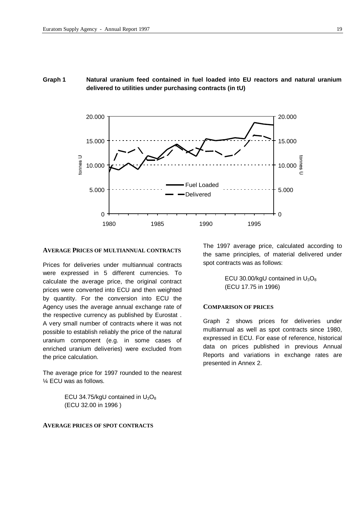# **Graph 1 Natural uranium feed contained in fuel loaded into EU reactors and natural uranium delivered to utilities under purchasing contracts (in tU)**



#### **AVERAGE PRICES OF MULTIANNUAL CONTRACTS**

Prices for deliveries under multiannual contracts were expressed in 5 different currencies. To calculate the average price, the original contract prices were converted into ECU and then weighted by quantity. For the conversion into ECU the Agency uses the average annual exchange rate of the respective currency as published by Eurostat . A very small number of contracts where it was not possible to establish reliably the price of the natural uranium component (e.g. in some cases of enriched uranium deliveries) were excluded from the price calculation.

The average price for 1997 rounded to the nearest ¼ ECU was as follows.

> ECU 34.75/kgU contained in  $U_3O_8$ (ECU 32.00 in 1996 )

#### **AVERAGE PRICES OF SPOT CONTRACTS**

The 1997 average price, calculated according to the same principles, of material delivered under spot contracts was as follows:

> ECU 30.00/kgU contained in  $U_3O_8$ (ECU 17.75 in 1996)

# **COMPARISON OF PRICES**

Graph 2 shows prices for deliveries under multiannual as well as spot contracts since 1980, expressed in ECU. For ease of reference, historical data on prices published in previous Annual Reports and variations in exchange rates are presented in Annex 2.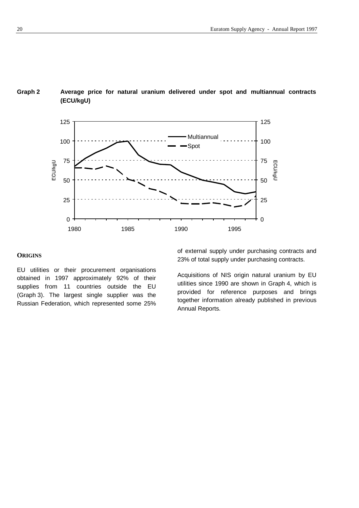

# **Graph 2 Average price for natural uranium delivered under spot and multiannual contracts (ECU/kgU)**

# **ORIGINS**

EU utilities or their procurement organisations obtained in 1997 approximately 92% of their supplies from 11 countries outside the EU (Graph 3). The largest single supplier was the Russian Federation, which represented some 25% of external supply under purchasing contracts and 23% of total supply under purchasing contracts.

Acquisitions of NIS origin natural uranium by EU utilities since 1990 are shown in Graph 4, which is provided for reference purposes and brings together information already published in previous Annual Reports.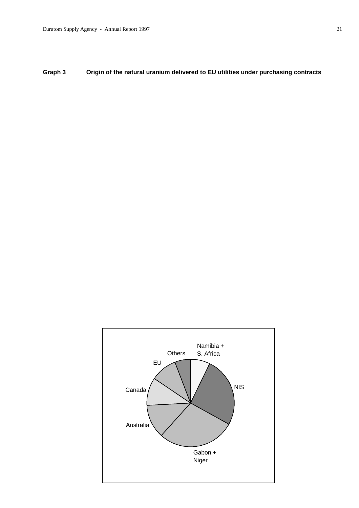**Graph 3 Origin of the natural uranium delivered to EU utilities under purchasing contracts**

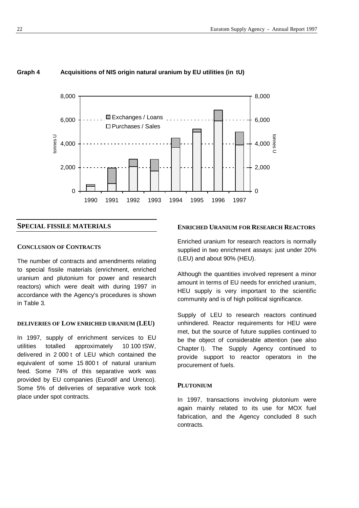

# **Graph 4 Acquisitions of NIS origin natural uranium by EU utilities (in tU)**

# **SPECIAL FISSILE MATERIALS**

#### **CONCLUSION OF CONTRACTS**

The number of contracts and amendments relating to special fissile materials (enrichment, enriched uranium and plutonium for power and research reactors) which were dealt with during 1997 in accordance with the Agency's procedures is shown in Table 3.

## **DELIVERIES OF LOW ENRICHED URANIUM (LEU)**

In 1997, supply of enrichment services to EU utilities totalled approximately 10 100 tSW, delivered in 2 000 t of LEU which contained the equivalent of some 15 800 t of natural uranium feed. Some 74% of this separative work was provided by EU companies (Eurodif and Urenco). Some 5% of deliveries of separative work took place under spot contracts.

# **ENRICHED URANIUM FOR RESEARCH REACTORS**

Enriched uranium for research reactors is normally supplied in two enrichment assays: just under 20% (LEU) and about 90% (HEU).

Although the quantities involved represent a minor amount in terms of EU needs for enriched uranium, HEU supply is very important to the scientific community and is of high political significance.

Supply of LEU to research reactors continued unhindered. Reactor requirements for HEU were met, but the source of future supplies continued to be the object of considerable attention (see also Chapter I). The Supply Agency continued to provide support to reactor operators in the procurement of fuels.

#### **PLUTONIUM**

In 1997, transactions involving plutonium were again mainly related to its use for MOX fuel fabrication, and the Agency concluded 8 such contracts.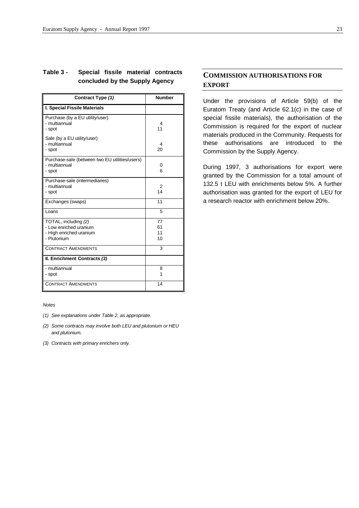# **Table 3 - Special fissile material contracts concluded by the Supply Agency**

| Contract Type (1)                                                                        | <b>Number</b>        |
|------------------------------------------------------------------------------------------|----------------------|
| <b>I. Special Fissile Materials</b>                                                      |                      |
| Purchase (by a EU utility/user)<br>- multiannual<br>- spot                               | 4<br>11              |
| Sale (by a EU utility/user)<br>- multiannual<br>- spot                                   | 4<br>20              |
| Purchase-sale (between two EU utilities/users)<br>- multiannual<br>- spot                | 0<br>6               |
| Purchase-sale (intermediaries)<br>- multiannual<br>- spot                                | 2<br>14              |
| Exchanges (swaps)                                                                        | 11                   |
| Loans                                                                                    | 5                    |
| TOTAL, including (2)<br>- Low enriched uranium<br>- High enriched uranium<br>- Plutonium | 77<br>61<br>11<br>10 |
| <b>CONTRACT AMENDMENTS</b>                                                               | 3                    |
| II. Enrichment Contracts (3)                                                             |                      |
| - multiannual<br>- spot                                                                  | 8<br>1               |
| <b>CONTRACT AMENDMENTS</b>                                                               | 14                   |

#### *Notes*

- *(1) See explanations under Table 2, as appropriate.*
- *(2) Some contracts may involve both LEU and plutonium or HEU and plutonium.*

*(3) Contracts with primary enrichers only.*

# **COMMISSION AUTHORISATIONS FOR EXPORT**

Under the provisions of Article 59(b) of the Euratom Treaty (and Article 62.1(c) in the case of special fissile materials), the authorisation of the Commission is required for the export of nuclear materials produced in the Community. Requests for these authorisations are introduced to the Commission by the Supply Agency.

During 1997, 3 authorisations for export were granted by the Commission for a total amount of 132.5 t LEU with enrichments below 5%. A further authorisation was granted for the export of LEU for a research reactor with enrichment below 20%.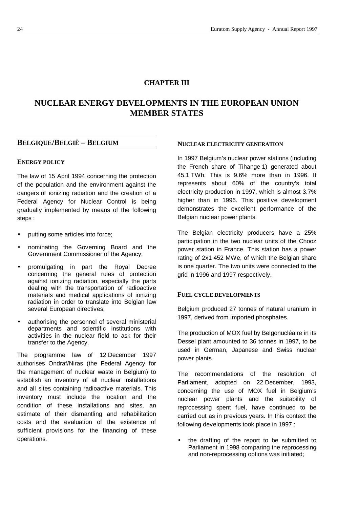# **CHAPTER III**

# **NUCLEAR ENERGY DEVELOPMENTS IN THE EUROPEAN UNION MEMBER STATES**

# **BELGIQUE/BELGIË – BELGIUM**

#### **ENERGY POLICY**

The law of 15 April 1994 concerning the protection of the population and the environment against the dangers of ionizing radiation and the creation of a Federal Agency for Nuclear Control is being gradually implemented by means of the following steps :

- putting some articles into force;
- nominating the Governing Board and the Government Commissioner of the Agency;
- promulgating in part the Royal Decree concerning the general rules of protection against ionizing radiation, especially the parts dealing with the transportation of radioactive materials and medical applications of ionizing radiation in order to translate into Belgian law several European directives;
- authorising the personnel of several ministerial departments and scientific institutions with activities in the nuclear field to ask for their transfer to the Agency.

The programme law of 12 December 1997 authorises Ondraf/Niras (the Federal Agency for the management of nuclear waste in Belgium) to establish an inventory of all nuclear installations and all sites containing radioactive materials. This inventory must include the location and the condition of these installations and sites, an estimate of their dismantling and rehabilitation costs and the evaluation of the existence of sufficient provisions for the financing of these operations.

#### **NUCLEAR ELECTRICITY GENERATION**

In 1997 Belgium's nuclear power stations (including the French share of Tihange 1) generated about 45.1 TWh. This is 9.6% more than in 1996. It represents about 60% of the country's total electricity production in 1997, which is almost 3.7% higher than in 1996. This positive development demonstrates the excellent performance of the Belgian nuclear power plants.

The Belgian electricity producers have a 25% participation in the two nuclear units of the Chooz power station in France. This station has a power rating of 2x1 452 MWe, of which the Belgian share is one quarter. The two units were connected to the grid in 1996 and 1997 respectively.

# **FUEL CYCLE DEVELOPMENTS**

Belgium produced 27 tonnes of natural uranium in 1997, derived from imported phosphates.

The production of MOX fuel by Belgonucléaire in its Dessel plant amounted to 36 tonnes in 1997, to be used in German, Japanese and Swiss nuclear power plants.

The recommendations of the resolution of Parliament, adopted on 22 December, 1993, concerning the use of MOX fuel in Belgium's nuclear power plants and the suitability of reprocessing spent fuel, have continued to be carried out as in previous years. In this context the following developments took place in 1997 :

• the drafting of the report to be submitted to Parliament in 1998 comparing the reprocessing and non-reprocessing options was initiated;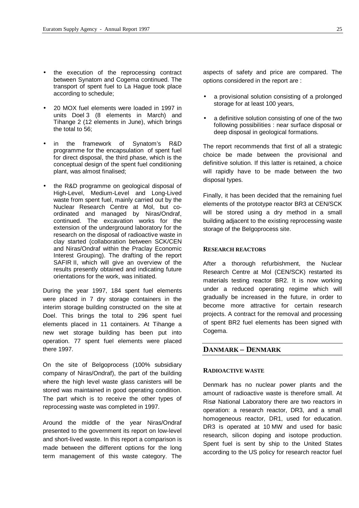- the execution of the reprocessing contract between Synatom and Cogema continued. The transport of spent fuel to La Hague took place according to schedule;
- 20 MOX fuel elements were loaded in 1997 in units Doel 3 (8 elements in March) and Tihange 2 (12 elements in June), which brings the total to 56;
- in the framework of Synatom's R&D programme for the encapsulation of spent fuel for direct disposal, the third phase, which is the conceptual design of the spent fuel conditioning plant, was almost finalised;
- the R&D programme on geological disposal of High-Level, Medium-Level and Long-Lived waste from spent fuel, mainly carried out by the Nuclear Research Centre at Mol, but coordinated and managed by Niras/Ondraf, continued. The excavation works for the extension of the underground laboratory for the research on the disposal of radioactive waste in clay started (collaboration between SCK/CEN and Niras/Ondraf within the Praclay Economic Interest Grouping). The drafting of the report SAFIR II, which will give an overview of the results presently obtained and indicating future orientations for the work, was initiated.

During the year 1997, 184 spent fuel elements were placed in 7 dry storage containers in the interim storage building constructed on the site at Doel. This brings the total to 296 spent fuel elements placed in 11 containers. At Tihange a new wet storage building has been put into operation. 77 spent fuel elements were placed there 1997.

On the site of Belgoprocess (100% subsidiary company of Niras/Ondraf), the part of the building where the high level waste glass canisters will be stored was maintained in good operating condition. The part which is to receive the other types of reprocessing waste was completed in 1997.

Around the middle of the year Niras/Ondraf presented to the government its report on low-level and short-lived waste. In this report a comparison is made between the different options for the long term management of this waste category. The

aspects of safety and price are compared. The options considered in the report are :

- a provisional solution consisting of a prolonged storage for at least 100 years,
- a definitive solution consisting of one of the two following possibilities : near surface disposal or deep disposal in geological formations.

The report recommends that first of all a strategic choice be made between the provisional and definitive solution. If this latter is retained, a choice will rapidly have to be made between the two disposal types.

Finally, it has been decided that the remaining fuel elements of the prototype reactor BR3 at CEN/SCK will be stored using a dry method in a small building adjacent to the existing reprocessing waste storage of the Belgoprocess site.

#### **RESEARCH REACTORS**

After a thorough refurbishment, the Nuclear Research Centre at Mol (CEN/SCK) restarted its materials testing reactor BR2. It is now working under a reduced operating regime which will gradually be increased in the future, in order to become more attractive for certain research projects. A contract for the removal and processing of spent BR2 fuel elements has been signed with Cogema.

# **DANMARK – DENMARK**

#### **RADIOACTIVE WASTE**

Denmark has no nuclear power plants and the amount of radioactive waste is therefore small. At Risø National Laboratory there are two reactors in operation: a research reactor, DR3, and a small homogeneous reactor, DR1, used for education. DR3 is operated at 10 MW and used for basic research, silicon doping and isotope production. Spent fuel is sent by ship to the United States according to the US policy for research reactor fuel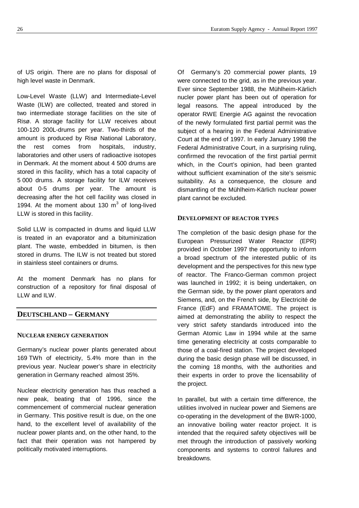of US origin. There are no plans for disposal of high level waste in Denmark.

Low-Level Waste (LLW) and Intermediate-Level Waste (ILW) are collected, treated and stored in two intermediate storage facilities on the site of Risø. A storage facility for LLW receives about 100-120 200L-drums per year. Two-thirds of the amount is produced by Risø National Laboratory, the rest comes from hospitals, industry, laboratories and other users of radioactive isotopes in Denmark. At the moment about 4 500 drums are stored in this facility, which has a total capacity of 5 000 drums. A storage facility for ILW receives about 0-5 drums per year. The amount is decreasing after the hot cell facility was closed in 1994. At the moment about 130  $m^3$  of long-lived LLW is stored in this facility.

Solid LLW is compacted in drums and liquid LLW is treated in an evaporator and a bituminization plant. The waste, embedded in bitumen, is then stored in drums. The ILW is not treated but stored in stainless steel containers or drums.

At the moment Denmark has no plans for construction of a repository for final disposal of LLW and ILW.

# **DEUTSCHLAND – GERMANY**

#### **NUCLEAR ENERGY GENERATION**

Germany's nuclear power plants generated about 169 TWh of electricity, 5.4% more than in the previous year. Nuclear power's share in electricity generation in Germany reached almost 35%.

Nuclear electricity generation has thus reached a new peak, beating that of 1996, since the commencement of commercial nuclear generation in Germany. This positive result is due, on the one hand, to the excellent level of availability of the nuclear power plants and, on the other hand, to the fact that their operation was not hampered by politically motivated interruptions.

Of Germany's 20 commercial power plants, 19 were connected to the grid, as in the previous year. Ever since September 1988, the Mühlheim-Kärlich nucler power plant has been out of operation for legal reasons. The appeal introduced by the operator RWE Energie AG against the revocation of the newly formulated first partial permit was the subject of a hearing in the Federal Administrative Court at the end of 1997. In early January 1998 the Federal Administrative Court, in a surprising ruling, confirmed the revocation of the first partial permit which, in the Court's opinion, had been granted without sufficient examination of the site's seismic suitability. As a consequence, the closure and dismantling of the Mühlheim-Kärlich nuclear power plant cannot be excluded.

#### **DEVELOPMENT OF REACTOR TYPES**

The completion of the basic design phase for the European Pressurized Water Reactor (EPR) provided in October 1997 the opportunity to inform a broad spectrum of the interested public of its development and the perspectives for this new type of reactor. The Franco-German common project was launched in 1992; it is being undertaken, on the German side, by the power plant operators and Siemens, and, on the French side, by Electricité de France (EdF) and FRAMATOME. The project is aimed at demonstrating the ability to respect the very strict safety standards introduced into the German Atomic Law in 1994 while at the same time generating electricity at costs comparable to those of a coal-fired station. The project developed during the basic design phase will be discussed, in the coming 18 months, with the authorities and their experts in order to prove the licensability of the project.

In parallel, but with a certain time difference, the utilities involved in nuclear power and Siemens are co-operating in the development of the BWR-1000, an innovative boiling water reactor project. It is intended that the required safety objectives will be met through the introduction of passively working components and systems to control failures and breakdowns.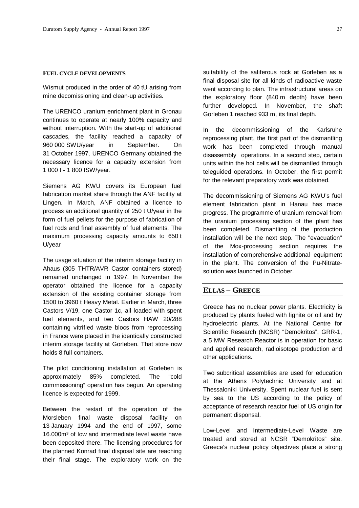#### **FUEL CYCLE DEVELOPMENTS**

Wismut produced in the order of 40 tU arising from mine decomissioning and clean-up activities.

The URENCO uranium enrichment plant in Gronau continues to operate at nearly 100% capacity and without interruption. With the start-up of additional cascades, the facility reached a capacity of 960 000 SWU/year in September. On 31 October 1997, URENCO Germany obtained the necessary licence for a capacity extension from 1 000 t - 1 800 tSW/year.

Siemens AG KWU covers its European fuel fabrication market share through the ANF facility at Lingen. In March, ANF obtained a licence to process an additional quantity of 250 t U/year in the form of fuel pellets for the purpose of fabrication of fuel rods and final assembly of fuel elements. The maximum processing capacity amounts to 650 t U/year

The usage situation of the interim storage facility in Ahaus (305 THTR/AVR Castor containers stored) remained unchanged in 1997. In November the operator obtained the licence for a capacity extension of the existing container storage from 1500 to 3960 t Heavy Metal. Earlier in March, three Castors V/19, one Castor 1c, all loaded with spent fuel elements, and two Castors HAW 20/288 containing vitrified waste blocs from reprocessing in France were placed in the identically constructed interim storage facility at Gorleben. That store now holds 8 full containers.

The pilot conditioning installation at Gorleben is approximately 85% completed. The "cold commissioning" operation has begun. An operating licence is expected for 1999.

Between the restart of the operation of the Morsleben final waste disposal facility on 13 January 1994 and the end of 1997, some 16.000m<sup>3</sup> of low and intermediate level waste have been deposited there. The licensing procedures for the planned Konrad final disposal site are reaching their final stage. The exploratory work on the

suitability of the saliferous rock at Gorleben as a final disposal site for all kinds of radioactive waste went according to plan. The infrastructural areas on the exploratory floor (840 m depth) have been further developed. In November, the shaft Gorleben 1 reached 933 m, its final depth.

In the decommissioning of the Karlsruhe reprocessing plant, the first part of the dismantling work has been completed through manual disassembly operations. In a second step, certain units within the hot cells will be dismantled through teleguided operations. In October, the first permit for the relevant preparatory work was obtained.

The decommissioning of Siemens AG KWU's fuel element fabrication plant in Hanau has made progress. The programme of uranium removal from the uranium processing section of the plant has been completed. Dismantling of the production installation will be the next step. The "evacuation" of the Mox-processing section requires the installation of comprehensive additional equipment in the plant. The conversion of the Pu-Nitratesolution was launched in October.

# **ELLAS – GREECE**

Greece has no nuclear power plants. Electricity is produced by plants fueled with lignite or oil and by hydroelectric plants. At the National Centre for Scientific Research (NCSR) "Demokritos", GRR-1, a 5 MW Research Reactor is in operation for basic and applied research, radioisotope production and other applications.

Two subcritical assemblies are used for education at the Athens Polytechnic University and at Thessaloniki University. Spent nuclear fuel is sent by sea to the US according to the policy of acceptance of research reactor fuel of US origin for permanent disponsal.

Low-Level and Intermediate-Level Waste are treated and stored at NCSR "Demokritos" site. Greece's nuclear policy objectives place a strong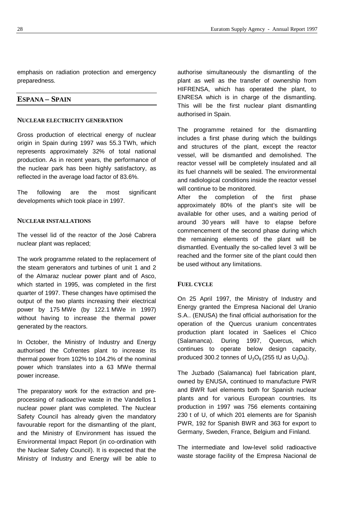emphasis on radiation protection and emergency preparedness.

# **ESPANA – SPAIN**

# **NUCLEAR ELECTRICITY GENERATION**

Gross production of electrical energy of nuclear origin in Spain during 1997 was 55.3 TWh, which represents approximately 32% of total national production. As in recent years, the performance of the nuclear park has been highly satisfactory, as reflected in the average load factor of 83.6%.

The following are the most significant developments which took place in 1997.

# **NUCLEAR INSTALLATIONS**

The vessel lid of the reactor of the José Cabrera nuclear plant was replaced;

The work programme related to the replacement of the steam generators and turbines of unit 1 and 2 of the Almaraz nuclear power plant and of Asco, which started in 1995, was completed in the first quarter of 1997. These changes have optimised the output of the two plants increasing their electrical power by 175 MWe (by 122.1 MWe in 1997) without having to increase the thermal power generated by the reactors.

In October, the Ministry of Industry and Energy authorised the Cofrentes plant to increase its thermal power from 102% to 104.2% of the nominal power which translates into a 63 MWe thermal power increase.

The preparatory work for the extraction and preprocessing of radioactive waste in the Vandellos 1 nuclear power plant was completed. The Nuclear Safety Council has already given the mandatory favourable report for the dismantling of the plant, and the Ministry of Environment has issued the Environmental Impact Report (in co-ordination with the Nuclear Safety Council). It is expected that the Ministry of Industry and Energy will be able to authorise simultaneously the dismantling of the plant as well as the transfer of ownership from HIFRENSA, which has operated the plant, to ENRESA which is in charge of the dismantling. This will be the first nuclear plant dismantling authorised in Spain.

The programme retained for the dismantling includes a first phase during which the buildings and structures of the plant, except the reactor vessel, will be dismantled and demolished. The reactor vessel will be completely insulated and all its fuel channels will be sealed. The environmental and radiological conditions inside the reactor vessel will continue to be monitored.

After the completion of the first phase approximately 80% of the plant's site will be available for other uses, and a waiting period of around 30 years will have to elapse before commencement of the second phase during which the remaining elements of the plant will be dismantled. Eventually the so-called level 3 will be reached and the former site of the plant could then be used without any limitations.

# **FUEL CYCLE**

On 25 April 1997, the Ministry of Industry and Energy granted the Empresa Nacional del Uranio S.A.. (ENUSA) the final official authorisation for the operation of the Quercus uranium concentrates production plant located in Saelices el Chico (Salamanca). During 1997, Quercus, which continues to operate below design capacity, produced 300.2 tonnes of  $U_3O_8$  (255 tU as  $U_3O_8$ ).

The Juzbado (Salamanca) fuel fabrication plant, owned by ENUSA, continued to manufacture PWR and BWR fuel elements both for Spanish nuclear plants and for various European countries. Its production in 1997 was 756 elements containing 230 t of U, of which 201 elements are for Spanish PWR, 192 for Spanish BWR and 363 for export to Germany, Sweden, France, Belgium and Finland.

The intermediate and low-level solid radioactive waste storage facility of the Empresa Nacional de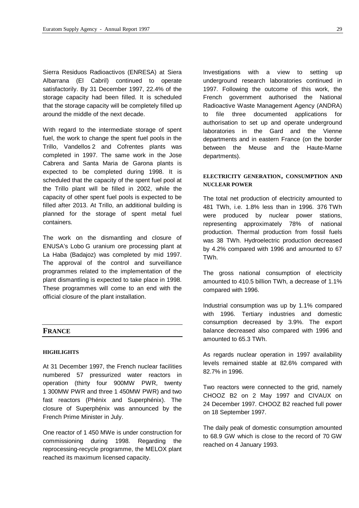Sierra Residuos Radioactivos (ENRESA) at Siera Albarrana (El Cabril) continued to operate satisfactorily. By 31 December 1997, 22.4% of the storage capacity had been filled. It is scheduled that the storage capacity will be completely filled up around the middle of the next decade.

With regard to the intermediate storage of spent fuel, the work to change the spent fuel pools in the Trillo, Vandellos 2 and Cofrentes plants was completed in 1997. The same work in the Jose Cabrera and Santa Maria de Garona plants is expected to be completed during 1998. It is scheduled that the capacity of the spent fuel pool at the Trillo plant will be filled in 2002, while the capacity of other spent fuel pools is expected to be filled after 2013. At Trillo, an additional building is planned for the storage of spent metal fuel containers.

The work on the dismantling and closure of ENUSA's Lobo G uranium ore processing plant at La Haba (Badajoz) was completed by mid 1997. The approval of the control and surveillance programmes related to the implementation of the plant dismantling is expected to take place in 1998. These programmes will come to an end with the official closure of the plant installation.

# **HIGHLIGHTS**

At 31 December 1997, the French nuclear facilities numbered 57 pressurized water reactors in operation (thirty four 900MW PWR, twenty 1 300MW PWR and three 1 450MW PWR) and two fast reactors (Phénix and Superphénix). The closure of Superphénix was announced by the French Prime Minister in July.

One reactor of 1 450 MWe is under construction for commissioning during 1998. Regarding the reprocessing-recycle programme, the MELOX plant reached its maximum licensed capacity.

Investigations with a view to setting up underground research laboratories continued in 1997. Following the outcome of this work, the French government authorised the National Radioactive Waste Management Agency (ANDRA) to file three documented applications for authorisation to set up and operate underground laboratories in the Gard and the Vienne departments and in eastern France (on the border between the Meuse and the Haute-Marne departments).

# **ELECTRICITY GENERATION, CONSUMPTION AND NUCLEAR POWER**

The total net production of electricity amounted to 481 TWh, i.e. 1.8% less than in 1996. 376 TWh were produced by nuclear power stations, representing approximately 78% of national production. Thermal production from fossil fuels was 38 TWh. Hydroelectric production decreased by 4.2% compared with 1996 and amounted to 67 TWh.

The gross national consumption of electricity amounted to 410.5 billion TWh, a decrease of 1.1% compared with 1996.

Industrial consumption was up by 1.1% compared with 1996. Tertiary industries and domestic consumption decreased by 3.9%. The export balance decreased also compared with 1996 and amounted to 65.3 TWh.

As regards nuclear operation in 1997 availability levels remained stable at 82.6% compared with 82.7% in 1996.

Two reactors were connected to the grid, namely CHOOZ B2 on 2 May 1997 and CIVAUX on 24 December 1997. CHOOZ B2 reached full power on 18 September 1997.

The daily peak of domestic consumption amounted to 68.9 GW which is close to the record of 70 GW reached on 4 January 1993.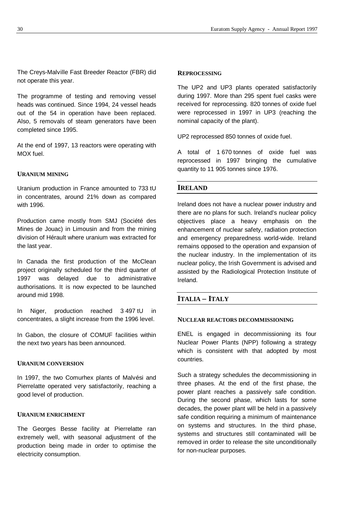The Creys-Malville Fast Breeder Reactor (FBR) did not operate this year.

The programme of testing and removing vessel heads was continued. Since 1994, 24 vessel heads out of the 54 in operation have been replaced. Also, 5 removals of steam generators have been completed since 1995.

At the end of 1997, 13 reactors were operating with MOX fuel.

# **URANIUM MINING**

Uranium production in France amounted to 733 tU in concentrates, around 21% down as compared with 1996.

Production came mostly from SMJ (Société des Mines de Jouac) in Limousin and from the mining division of Hérault where uranium was extracted for the last year.

In Canada the first production of the McClean project originally scheduled for the third quarter of 1997 was delayed due to administrative authorisations. It is now expected to be launched around mid 1998.

In Niger, production reached 3 497 tU in concentrates, a slight increase from the 1996 level.

In Gabon, the closure of COMUF facilities within the next two years has been announced.

# **URANIUM CONVERSION**

In 1997, the two Comurhex plants of Malvési and Pierrelatte operated very satisfactorily, reaching a good level of production.

# **URANIUM ENRICHMENT**

The Georges Besse facility at Pierrelatte ran extremely well, with seasonal adjustment of the production being made in order to optimise the electricity consumption.

# **REPROCESSING**

The UP2 and UP3 plants operated satisfactorily during 1997. More than 295 spent fuel casks were received for reprocessing. 820 tonnes of oxide fuel were reprocessed in 1997 in UP3 (reaching the nominal capacity of the plant).

UP2 reprocessed 850 tonnes of oxide fuel.

A total of 1 670 tonnes of oxide fuel was reprocessed in 1997 bringing the cumulative quantity to 11 905 tonnes since 1976.

# **IRELAND**

Ireland does not have a nuclear power industry and there are no plans for such. Ireland's nuclear policy objectives place a heavy emphasis on the enhancement of nuclear safety, radiation protection and emergency preparedness world-wide. Ireland remains opposed to the operation and expansion of the nuclear industry. In the implementation of its nuclear policy, the Irish Government is advised and assisted by the Radiological Protection Institute of Ireland.

# **ITALIA – ITALY**

#### **NUCLEAR REACTORS DECOMMISSIONING**

ENEL is engaged in decommissioning its four Nuclear Power Plants (NPP) following a strategy which is consistent with that adopted by most countries.

Such a strategy schedules the decommissioning in three phases. At the end of the first phase, the power plant reaches a passively safe condition. During the second phase, which lasts for some decades, the power plant will be held in a passively safe condition requiring a minimum of maintenance on systems and structures. In the third phase, systems and structures still contaminated will be removed in order to release the site unconditionally for non-nuclear purposes.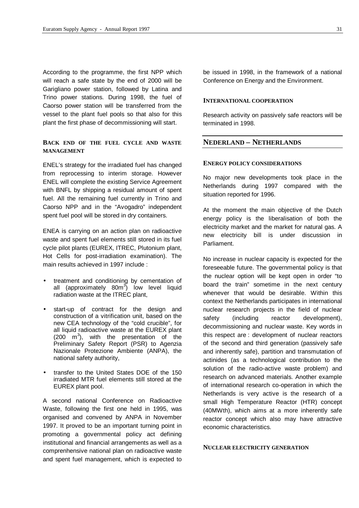According to the programme, the first NPP which will reach a safe state by the end of 2000 will be Garigliano power station, followed by Latina and Trino power stations. During 1998, the fuel of Caorso power station will be transferred from the vessel to the plant fuel pools so that also for this plant the first phase of decommissioning will start.

# **BACK END OF THE FUEL CYCLE AND WASTE MANAGEMENT**

ENEL's strategy for the irradiated fuel has changed from reprocessing to interim storage. However ENEL will complete the existing Service Agreement with BNFL by shipping a residual amount of spent fuel. All the remaining fuel currently in Trino and Caorso NPP and in the "Avogadro" independent spent fuel pool will be stored in dry containers.

ENEA is carrying on an action plan on radioactive waste and spent fuel elements still stored in its fuel cycle pilot plants (EUREX, ITREC, Plutonium plant, Hot Cells for post-irradiation examination). The main results achieved in 1997 include :

- treatment and conditioning by cementation of all (approximately 80m<sup>3</sup>) low level liquid radiation waste at the ITREC plant,
- start-up of contract for the design and construction of a vitrification unit, based on the new CEA technology of the "cold crucible", for all liquid radioactive waste at the EUREX plant  $(200 \, m^3)$ , with the presentation of the Preliminary Safety Report (PSR) to Agenzia Nazionale Protezione Ambiente (ANPA), the national safety authority,
- transfer to the United States DOE of the 150 irradiated MTR fuel elements still stored at the EUREX plant pool.

A second national Conference on Radioactive Waste, following the first one held in 1995, was organised and convened by ANPA in November 1997. It proved to be an important turning point in promoting a governmental policy act defining institutional and financial arrangements as well as a comprenhensive national plan on radioactive waste and spent fuel management, which is expected to

be issued in 1998, in the framework of a national Conference on Energy and the Environment.

#### **INTERNATIONAL COOPERATION**

Research activity on passively safe reactors will be terminated in 1998.

# **NEDERLAND – NETHERLANDS**

# **ENERGY POLICY CONSIDERATIONS**

No major new developments took place in the Netherlands during 1997 compared with the situation reported for 1996.

At the moment the main objective of the Dutch energy policy is the liberalisation of both the electricity market and the market for natural gas. A new electricity bill is under discussion in Parliament.

No increase in nuclear capacity is expected for the foreseeable future. The governmental policy is that the nuclear option will be kept open in order "to board the train" sometime in the next century whenever that would be desirable. Within this context the Netherlands participates in international nuclear research projects in the field of nuclear safety (including reactor development), decommissioning and nuclear waste. Key words in this respect are : development of nuclear reactors of the second and third generation (passively safe and inherently safe), partition and transmutation of actinides (as a technological contribution to the solution of the radio-active waste problem) and research on advanced materials. Another example of international research co-operation in which the Netherlands is very active is the research of a small High Temperature Reactor (HTR) concept (40MWth), which aims at a more inherently safe reactor concept which also may have attractive economic characteristics.

#### **NUCLEAR ELECTRICITY GENERATION**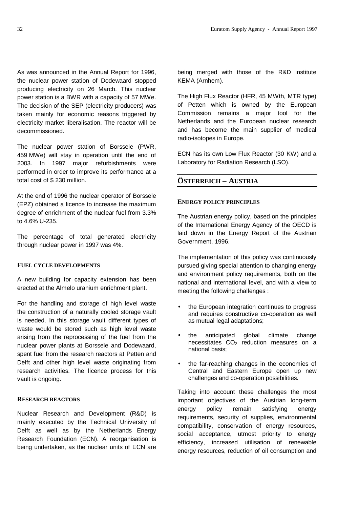As was announced in the Annual Report for 1996, the nuclear power station of Dodewaard stopped producing electricity on 26 March. This nuclear power station is a BWR with a capacity of 57 MWe. The decision of the SEP (electricity producers) was taken mainly for economic reasons triggered by electricity market liberalisation. The reactor will be decommissioned.

The nuclear power station of Borssele (PWR, 459 MWe) will stay in operation until the end of 2003. In 1997 major refurbishments were performed in order to improve its performance at a total cost of \$ 230 million.

At the end of 1996 the nuclear operator of Borssele (EPZ) obtained a licence to increase the maximum degree of enrichment of the nuclear fuel from 3.3% to 4.6% U-235.

The percentage of total generated electricity through nuclear power in 1997 was 4%.

#### **FUEL CYCLE DEVELOPMENTS**

A new building for capacity extension has been erected at the Almelo uranium enrichment plant.

For the handling and storage of high level waste the construction of a naturally cooled storage vault is needed. In this storage vault different types of waste would be stored such as high level waste arising from the reprocessing of the fuel from the nuclear power plants at Borssele and Dodewaard, spent fuel from the research reactors at Petten and Delft and other high level waste originating from research activities. The licence process for this vault is ongoing.

# **RESEARCH REACTORS**

Nuclear Research and Development (R&D) is mainly executed by the Technical University of Delft as well as by the Netherlands Energy Research Foundation (ECN). A reorganisation is being undertaken, as the nuclear units of ECN are being merged with those of the R&D institute KEMA (Arnhem).

The High Flux Reactor (HFR, 45 MWth, MTR type) of Petten which is owned by the European Commission remains a major tool for the Netherlands and the European nuclear research and has become the main supplier of medical radio-isotopes in Europe.

ECN has its own Low Flux Reactor (30 KW) and a Laboratory for Radiation Research (LSO).

# **ÖSTERREICH – AUSTRIA**

# **ENERGY POLICY PRINCIPLES**

The Austrian energy policy, based on the principles of the International Energy Agency of the OECD is laid down in the Energy Report of the Austrian Government, 1996.

The implementation of this policy was continuously pursued giving special attention to changing energy and environment policy requirements, both on the national and international level, and with a view to meeting the following challenges :

- the European integration continues to progress and requires constructive co-operation as well as mutual legal adaptations;
- the anticipated global climate change necessitates  $CO<sub>2</sub>$  reduction measures on a national basis;
- the far-reaching changes in the economies of Central and Eastern Europe open up new challenges and co-operation possibilities.

Taking into account these challenges the most important objectives of the Austrian long-term energy policy remain satisfying energy requirements, security of supplies, environmental compatibility, conservation of energy resources, social acceptance, utmost priority to energy efficiency, increased utilisation of renewable energy resources, reduction of oil consumption and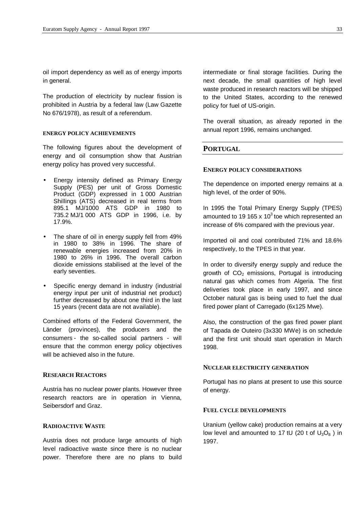oil import dependency as well as of energy imports in general.

The production of electricity by nuclear fission is prohibited in Austria by a federal law (Law Gazette No 676/1978), as result of a referendum.

#### **ENERGY POLICY ACHIEVEMENTS**

The following figures about the development of energy and oil consumption show that Austrian energy policy has proved very successful.

- Energy intensity defined as Primary Energy Supply (PES) per unit of Gross Domestic Product (GDP) expressed in 1 000 Austrian Shillings (ATS) decreased in real terms from 895.1 MJ/1000 ATS GDP in 1980 to 735.2 MJ/1 000 ATS GDP in 1996, i.e. by 17.9%.
- The share of oil in energy supply fell from 49% in 1980 to 38% in 1996. The share of renewable energies increased from 20% in 1980 to 26% in 1996. The overall carbon dioxide emissions stabilised at the level of the early seventies.
- Specific energy demand in industry (industrial energy input per unit of industrial net product) further decreased by about one third in the last 15 years (recent data are not available).

Combined efforts of the Federal Government, the Länder (provinces), the producers and the consumers - the so-called social partners - will ensure that the common energy policy objectives will be achieved also in the future.

# **RESEARCH REACTORS**

Austria has no nuclear power plants. However three research reactors are in operation in Vienna, Seibersdorf and Graz.

# **RADIOACTIVE WASTE**

Austria does not produce large amounts of high level radioactive waste since there is no nuclear power. Therefore there are no plans to build

intermediate or final storage facilities. During the next decade, the small quantities of high level waste produced in research reactors will be shipped to the United States, according to the renewed policy for fuel of US-origin.

The overall situation, as already reported in the annual report 1996, remains unchanged.

# **PORTUGAL**

#### **ENERGY POLICY CONSIDERATIONS**

The dependence on imported energy remains at a high level, of the order of 90%.

In 1995 the Total Primary Energy Supply (TPES) amounted to 19 165 x 10<sup>3</sup> toe which represented an increase of 6% compared with the previous year.

Imported oil and coal contributed 71% and 18.6% respectively, to the TPES in that year.

In order to diversify energy supply and reduce the growth of  $CO<sub>2</sub>$  emissions, Portugal is introducing natural gas which comes from Algeria. The first deliveries took place in early 1997, and since October natural gas is being used to fuel the dual fired power plant of Carregado (6x125 Mwe).

Also, the construction of the gas fired power plant of Tapada de Outeiro (3x330 MWe) is on schedule and the first unit should start operation in March 1998.

# **NUCLEAR ELECTRICITY GENERATION**

Portugal has no plans at present to use this source of energy.

# **FUEL CYCLE DEVELOPMENTS**

Uranium (yellow cake) production remains at a very low level and amounted to 17 tU (20 t of  $U_3O_8$ ) in 1997.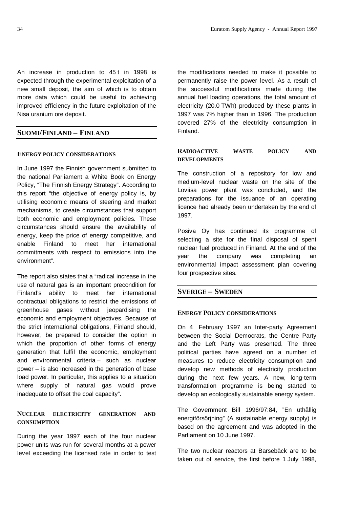An increase in production to 45 t in 1998 is expected through the experimental exploitation of a new small deposit, the aim of which is to obtain more data which could be useful to achieving improved efficiency in the future exploitation of the Nisa uranium ore deposit.

# **SUOMI/FINLAND – FINLAND**

#### **ENERGY POLICY CONSIDERATIONS**

In June 1997 the Finnish government submitted to the national Parliament a White Book on Energy Policy, "The Finnish Energy Strategy". According to this report "the objective of energy policy is, by utilising economic means of steering and market mechanisms, to create circumstances that support both economic and employment policies. These circumstances should ensure the availability of energy, keep the price of energy competitive, and enable Finland to meet her international commitments with respect to emissions into the environment".

The report also states that a "radical increase in the use of natural gas is an important precondition for Finland's ability to meet her international contractual obligations to restrict the emissions of greenhouse gases without jeopardising the economic and employment objectives. Because of the strict international obligations, Finland should, however, be prepared to consider the option in which the proportion of other forms of energy generation that fulfil the economic, employment and environmental criteria – such as nuclear power – is also increased in the generation of base load power. In particular, this applies to a situation where supply of natural gas would prove inadequate to offset the coal capacity".

# **NUCLEAR ELECTRICITY GENERATION AND CONSUMPTION**

During the year 1997 each of the four nuclear power units was run for several months at a power level exceeding the licensed rate in order to test the modifications needed to make it possible to permanently raise the power level. As a result of the successful modifications made during the annual fuel loading operations, the total amount of electricity (20.0 TWh) produced by these plants in 1997 was 7% higher than in 1996. The production covered 27% of the electricity consumption in Finland.

# **RADIOACTIVE WASTE POLICY AND DEVELOPMENTS**

The construction of a repository for low and medium-level nuclear waste on the site of the Loviisa power plant was concluded, and the preparations for the issuance of an operating licence had already been undertaken by the end of 1997.

Posiva Oy has continued its programme of selecting a site for the final disposal of spent nuclear fuel produced in Finland. At the end of the year the company was completing an environmental impact assessment plan covering four prospective sites.

# **SVERIGE – SWEDEN**

#### **ENERGY POLICY CONSIDERATIONS**

On 4 February 1997 an Inter-party Agreement between the Social Democrats, the Centre Party and the Left Party was presented. The three political parties have agreed on a number of measures to reduce electricity consumption and develop new methods of electricity production during the next few years. A new, long-term transformation programme is being started to develop an ecologically sustainable energy system.

The Government Bill 1996/97:84, "En uthållig energiförsörjning" (A sustainable energy supply) is based on the agreement and was adopted in the Parliament on 10 June 1997.

The two nuclear reactors at Barsebäck are to be taken out of service, the first before 1 July 1998,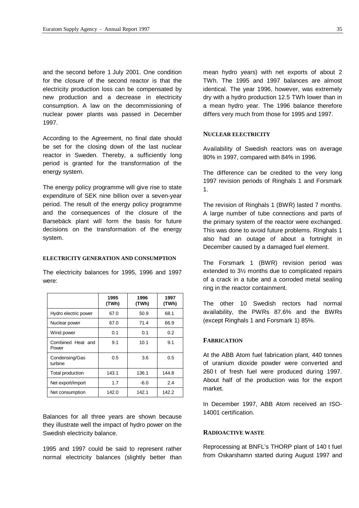and the second before 1 July 2001. One condition for the closure of the second reactor is that the electricity production loss can be compensated by new production and a decrease in electricity consumption. A law on the decommissioning of nuclear power plants was passed in December 1997.

According to the Agreement, no final date should be set for the closing down of the last nuclear reactor in Sweden. Thereby, a sufficiently long period is granted for the transformation of the energy system.

The energy policy programme will give rise to state expenditure of SEK nine billion over a seven-year period. The result of the energy policy programme and the consequences of the closure of the Barsebäck plant will form the basis for future decisions on the transformation of the energy system.

#### **ELECTRICITY GENERATION AND CONSUMPTION**

The electricity balances for 1995, 1996 and 1997 were:

|                            | 1995<br>(TWh) | 1996<br>(TWh) | 1997<br>(TWh) |
|----------------------------|---------------|---------------|---------------|
| Hydro electric power       | 67.0          | 50.9          | 68.1          |
| Nuclear power              | 67.0          | 71.4          | 66.9          |
| Wind power                 | 0.1           | 0.1           | 0.2           |
| Combined Heat and<br>Power | 9.1           | 10.1          | 9.1           |
| Condensing/Gas<br>turbine  | 0.5           | 3.6           | 0.5           |
| Total production           | 143.1         | 136.1         | 144.8         |
| Net export/import          | 1.7           | $-6.0$        | 2.4           |
| Net consumption            | 142.0         | 142.1         | 142.2         |

Balances for all three years are shown because they illustrate well the impact of hydro power on the Swedish electricity balance.

1995 and 1997 could be said to represent rather normal electricity balances (slightly better than

mean hydro years) with net exports of about 2 TWh. The 1995 and 1997 balances are almost identical. The year 1996, however, was extremely dry with a hydro production 12.5 TWh lower than in a mean hydro year. The 1996 balance therefore differs very much from those for 1995 and 1997.

#### **NUCLEAR ELECTRICITY**

Availability of Swedish reactors was on average 80% in 1997, compared with 84% in 1996.

The difference can be credited to the very long 1997 revision periods of Ringhals 1 and Forsmark 1.

The revision of Ringhals 1 (BWR) lasted 7 months. A large number of tube connections and parts of the primary system of the reactor were exchanged. This was done to avoid future problems. Ringhals 1 also had an outage of about a fortnight in December caused by a damaged fuel element.

The Forsmark 1 (BWR) revision period was extended to 3½ months due to complicated repairs of a crack in a tube and a corroded metal sealing ring in the reactor containment.

The other 10 Swedish rectors had normal availability, the PWRs 87.6% and the BWRs (except Ringhals 1 and Forsmark 1) 85%.

# **FABRICATION**

At the ABB Atom fuel fabrication plant, 440 tonnes of uranium dioxide powder were converted and 260 t of fresh fuel were produced during 1997. About half of the production was for the export market.

In December 1997, ABB Atom received an ISO-14001 certification.

# **RADIOACTIVE WASTE**

Reprocessing at BNFL's THORP plant of 140 t fuel from Oskarshamn started during August 1997 and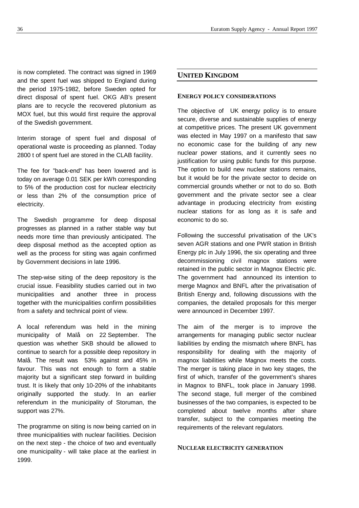is now completed. The contract was signed in 1969 and the spent fuel was shipped to England during the period 1975-1982, before Sweden opted for direct disposal of spent fuel. OKG AB's present plans are to recycle the recovered plutonium as MOX fuel, but this would first require the approval of the Swedish government.

Interim storage of spent fuel and disposal of operational waste is proceeding as planned. Today 2800 t of spent fuel are stored in the CLAB facility.

The fee for "back-end" has been lowered and is today on average 0.01 SEK per kWh corresponding to 5% of the production cost for nuclear electricity or less than 2% of the consumption price of electricity.

The Swedish programme for deep disposal progresses as planned in a rather stable way but needs more time than previously anticipated. The deep disposal method as the accepted option as well as the process for siting was again confirmed by Government decisions in late 1996.

The step-wise siting of the deep repository is the crucial issue. Feasibility studies carried out in two municipalities and another three in process together with the municipalities confirm possibilities from a safety and technical point of view.

A local referendum was held in the mining municipality of Malå on 22 September. The question was whether SKB should be allowed to continue to search for a possible deep repository in Malå. The result was 53% against and 45% in favour. This was not enough to form a stable majority but a significant step forward in building trust. It is likely that only 10-20% of the inhabitants originally supported the study. In an earlier referendum in the municipality of Storuman, the support was 27%.

The programme on siting is now being carried on in three municipalities with nuclear facilities. Decision on the next step - the choice of two and eventually one municipality - will take place at the earliest in 1999.

# **UNITED KINGDOM**

#### **ENERGY POLICY CONSIDERATIONS**

The objective of UK energy policy is to ensure secure, diverse and sustainable supplies of energy at competitive prices. The present UK government was elected in May 1997 on a manifesto that saw no economic case for the building of any new nuclear power stations, and it currently sees no justification for using public funds for this purpose. The option to build new nuclear stations remains, but it would be for the private sector to decide on commercial grounds whether or not to do so. Both government and the private sector see a clear advantage in producing electricity from existing nuclear stations for as long as it is safe and economic to do so.

Following the successful privatisation of the UK's seven AGR stations and one PWR station in British Energy plc in July 1996, the six operating and three decommissioning civil magnox stations were retained in the public sector in Magnox Electric plc. The government had announced its intention to merge Magnox and BNFL after the privatisation of British Energy and, following discussions with the companies, the detailed proposals for this merger were announced in December 1997.

The aim of the merger is to improve the arrangements for managing public sector nuclear liabilities by ending the mismatch where BNFL has responsibility for dealing with the majority of magnox liabilities while Magnox meets the costs. The merger is taking place in two key stages, the first of which, transfer of the government's shares in Magnox to BNFL, took place in January 1998. The second stage, full merger of the combined businesses of the two companies, is expected to be completed about twelve months after share transfer, subject to the companies meeting the requirements of the relevant regulators.

# **NUCLEAR ELECTRICITY GENERATION**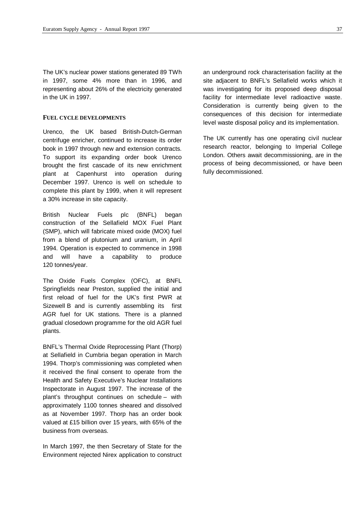The UK's nuclear power stations generated 89 TWh in 1997, some 4% more than in 1996, and representing about 26% of the electricity generated in the UK in 1997.

# **FUEL CYCLE DEVELOPMENTS**

Urenco, the UK based British-Dutch-German centrifuge enricher, continued to increase its order book in 1997 through new and extension contracts. To support its expanding order book Urenco brought the first cascade of its new enrichment plant at Capenhurst into operation during December 1997. Urenco is well on schedule to complete this plant by 1999, when it will represent a 30% increase in site capacity.

British Nuclear Fuels plc (BNFL) began construction of the Sellafield MOX Fuel Plant (SMP), which will fabricate mixed oxide (MOX) fuel from a blend of plutonium and uranium, in April 1994. Operation is expected to commence in 1998 and will have a capability to produce 120 tonnes/year.

The Oxide Fuels Complex (OFC), at BNFL Springfields near Preston, supplied the initial and first reload of fuel for the UK's first PWR at Sizewell B and is currently assembling its first AGR fuel for UK stations. There is a planned gradual closedown programme for the old AGR fuel plants.

BNFL's Thermal Oxide Reprocessing Plant (Thorp) at Sellafield in Cumbria began operation in March 1994. Thorp's commissioning was completed when it received the final consent to operate from the Health and Safety Executive's Nuclear Installations Inspectorate in August 1997. The increase of the plant's throughput continues on schedule – with approximately 1100 tonnes sheared and dissolved as at November 1997. Thorp has an order book valued at £15 billion over 15 years, with 65% of the business from overseas.

In March 1997, the then Secretary of State for the Environment rejected Nirex application to construct an underground rock characterisation facility at the site adjacent to BNFL's Sellafield works which it was investigating for its proposed deep disposal facility for intermediate level radioactive waste. Consideration is currently being given to the consequences of this decision for intermediate level waste disposal policy and its implementation.

The UK currently has one operating civil nuclear research reactor, belonging to Imperial College London. Others await decommissioning, are in the process of being decommissioned, or have been fully decommissioned.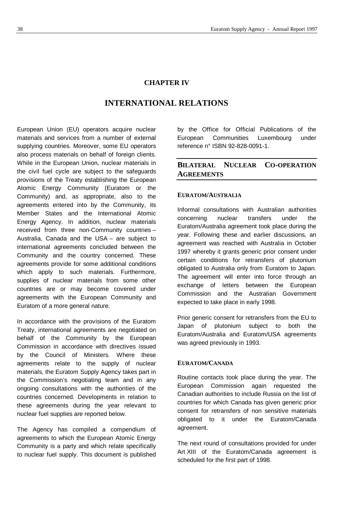# **CHAPTER IV**

# **INTERNATIONAL RELATIONS**

European Union (EU) operators acquire nuclear materials and services from a number of external supplying countries. Moreover, some EU operators also process materials on behalf of foreign clients. While in the European Union, nuclear materials in the civil fuel cycle are subject to the safeguards provisions of the Treaty establishing the European Atomic Energy Community (Euratom or the Community) and, as appropriate, also to the agreements entered into by the Community, its Member States and the International Atomic Energy Agency. In addition, nuclear materials received from three non-Community countries – Australia, Canada and the USA – are subject to international agreements concluded between the Community and the country concerned. These agreements provide for some additional conditions which apply to such materials. Furthermore, supplies of nuclear materials from some other countries are or may become covered under agreements with the European Community and Euratom of a more general nature.

In accordance with the provisions of the Euratom Treaty, international agreements are negotiated on behalf of the Community by the European Commission in accordance with directives issued by the Council of Ministers. Where these agreements relate to the supply of nuclear materials, the Euratom Supply Agency takes part in the Commission's negotiating team and in any ongoing consultations with the authorities of the countries concerned. Developments in relation to these agreements during the year relevant to nuclear fuel supplies are reported below.

The Agency has compiled a compendium of agreements to which the European Atomic Energy Community is a party and which relate specifically to nuclear fuel supply. This document is published by the Office for Official Publications of the European Communities Luxembourg under reference n° ISBN 92-828-0091-1.

# **BILATERAL NUCLEAR CO-OPERATION AGREEMENTS**

# **EURATOM/AUSTRALIA**

Informal consultations with Australian authorities concerning nuclear transfers under the Euratom/Australia agreement took place during the year. Following these and earlier discussions, an agreement was reached with Australia in October 1997 whereby it grants generic prior consent under certain conditions for retransfers of plutonium obligated to Australia only from Euratom to Japan. The agreement will enter into force through an exchange of letters between the European Commission and the Australian Government expected to take place in early 1998.

Prior generic consent for retransfers from the EU to Japan of plutonium subject to both the Euratom/Australia and Euratom/USA agreements was agreed previously in 1993.

# **EURATOM/CANADA**

Routine contacts took place during the year. The European Commission again requested the Canadian authorities to include Russia on the list of countries for which Canada has given generic prior consent for retransfers of non sensitive materials obligated to it under the Euratom/Canada agreement.

The next round of consultations provided for under Art XIII of the Euratom/Canada agreement is scheduled for the first part of 1998.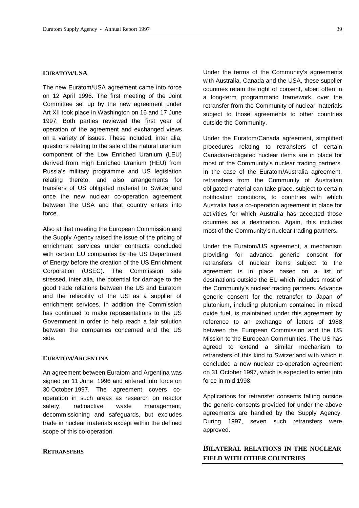# **EURATOM/USA**

The new Euratom/USA agreement came into force on 12 April 1996. The first meeting of the Joint Committee set up by the new agreement under Art XII took place in Washington on 16 and 17 June 1997. Both parties reviewed the first year of operation of the agreement and exchanged views on a variety of issues. These included, inter alia, questions relating to the sale of the natural uranium component of the Low Enriched Uranium (LEU) derived from High Enriched Uranium (HEU) from Russia's military programme and US legislation relating thereto, and also arrangements for transfers of US obligated material to Switzerland once the new nuclear co-operation agreement between the USA and that country enters into force.

Also at that meeting the European Commission and the Supply Agency raised the issue of the pricing of enrichment services under contracts concluded with certain EU companies by the US Department of Energy before the creation of the US Enrichment Corporation (USEC). The Commission side stressed, inter alia, the potential for damage to the good trade relations between the US and Euratom and the reliability of the US as a supplier of enrichment services. In addition the Commission has continued to make representations to the US Government in order to help reach a fair solution between the companies concerned and the US side.

#### **EURATOM/ARGENTINA**

An agreement between Euratom and Argentina was signed on 11 June 1996 and entered into force on 30 October 1997. The agreement covers cooperation in such areas as research on reactor safety, radioactive waste management, decommissioning and safeguards, but excludes trade in nuclear materials except within the defined scope of this co-operation.

#### **RETRANSFERS**

Under the terms of the Community's agreements with Australia, Canada and the USA, these supplier countries retain the right of consent, albeit often in a long-term programmatic framework, over the retransfer from the Community of nuclear materials subject to those agreements to other countries outside the Community.

Under the Euratom/Canada agreement, simplified procedures relating to retransfers of certain Canadian-obligated nuclear items are in place for most of the Community's nuclear trading partners. In the case of the Euratom/Australia agreement, retransfers from the Community of Australian obligated material can take place, subject to certain notification conditions, to countries with which Australia has a co-operation agreement in place for activities for which Australia has accepted those countries as a destination. Again, this includes most of the Community's nuclear trading partners.

Under the Euratom/US agreement, a mechanism providing for advance generic consent for retransfers of nuclear items subject to the agreement is in place based on a list of destinations outside the EU which includes most of the Community's nuclear trading partners. Advance generic consent for the retransfer to Japan of plutonium, including plutonium contained in mixed oxide fuel, is maintained under this agreement by reference to an exchange of letters of 1988 between the European Commission and the US Mission to the European Communities. The US has agreed to extend a similar mechanism to retransfers of this kind to Switzerland with which it concluded a new nuclear co-operation agreement on 31 October 1997, which is expected to enter into force in mid 1998.

Applications for retransfer consents falling outside the generic consents provided for under the above agreements are handled by the Supply Agency. During 1997, seven such retransfers were approved.

# **BILATERAL RELATIONS IN THE NUCLEAR FIELD WITH OTHER COUNTRIES**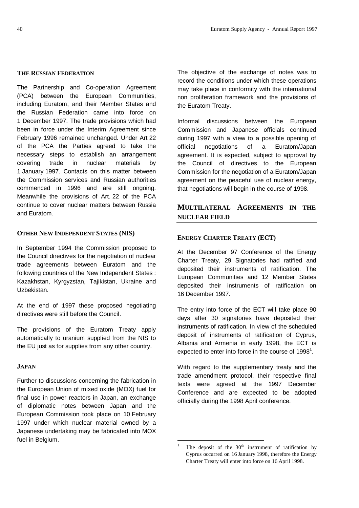# **THE RUSSIAN FEDERATION**

The Partnership and Co-operation Agreement (PCA) between the European Communities, including Euratom, and their Member States and the Russian Federation came into force on 1 December 1997. The trade provisions which had been in force under the Interim Agreement since February 1996 remained unchanged. Under Art 22 of the PCA the Parties agreed to take the necessary steps to establish an arrangement covering trade in nuclear materials by 1 January 1997. Contacts on this matter between the Commission services and Russian authorities commenced in 1996 and are still ongoing. Meanwhile the provisions of Art. 22 of the PCA continue to cover nuclear matters between Russia and Euratom.

# **OTHER NEW INDEPENDENT STATES (NIS)**

In September 1994 the Commission proposed to the Council directives for the negotiation of nuclear trade agreements between Euratom and the following countries of the New Independent States : Kazakhstan, Kyrgyzstan, Tajikistan, Ukraine and Uzbekistan.

At the end of 1997 these proposed negotiating directives were still before the Council.

The provisions of the Euratom Treaty apply automatically to uranium supplied from the NIS to the EU just as for supplies from any other country.

#### **JAPAN**

Further to discussions concerning the fabrication in the European Union of mixed oxide (MOX) fuel for final use in power reactors in Japan, an exchange of diplomatic notes between Japan and the European Commission took place on 10 February 1997 under which nuclear material owned by a Japanese undertaking may be fabricated into MOX fuel in Belgium.

The objective of the exchange of notes was to record the conditions under which these operations may take place in conformity with the international non proliferation framework and the provisions of the Euratom Treaty.

Informal discussions between the European Commission and Japanese officials continued during 1997 with a view to a possible opening of official negotiations of a Euratom/Japan agreement. It is expected, subject to approval by the Council of directives to the European Commission for the negotiation of a Euratom/Japan agreement on the peaceful use of nuclear energy, that negotiations will begin in the course of 1998.

# **MULTILATERAL AGREEMENTS IN THE NUCLEAR FIELD**

## **ENERGY CHARTER TREATY (ECT)**

At the December 97 Conference of the Energy Charter Treaty, 29 Signatories had ratified and deposited their instruments of ratification. The European Communities and 12 Member States deposited their instruments of ratification on 16 December 1997.

The entry into force of the ECT will take place 90 days after 30 signatories have deposited their instruments of ratification. In view of the scheduled deposit of instruments of ratification of Cyprus, Albania and Armenia in early 1998, the ECT is expected to enter into force in the course of 1998<sup>1</sup>.

With regard to the supplementary treaty and the trade amendment protocol, their respective final texts were agreed at the 1997 December Conference and are expected to be adopted officially during the 1998 April conference.

l

The deposit of the  $30<sup>th</sup>$  instrument of ratification by Cyprus occurred on 16 January 1998, therefore the Energy Charter Treaty will enter into force on 16 April 1998*.*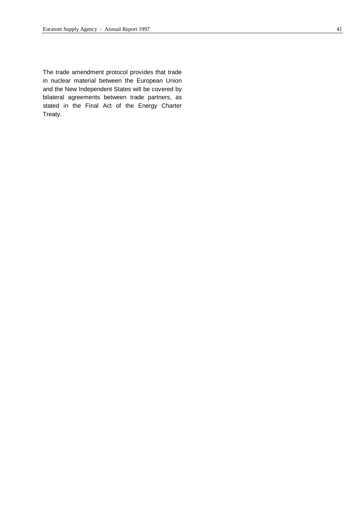The trade amendment protocol provides that trade in nuclear material between the European Union and the New Independent States will be covered by bilateral agreements between trade partners, as stated in the Final Act of the Energy Charter Treaty.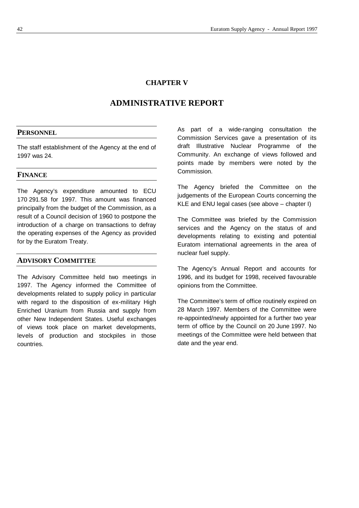# **CHAPTER V**

# **ADMINISTRATIVE REPORT**

# **PERSONNEL**

The staff establishment of the Agency at the end of 1997 was 24.

# **FINANCE**

The Agency's expenditure amounted to ECU 170 291.58 for 1997. This amount was financed principally from the budget of the Commission, as a result of a Council decision of 1960 to postpone the introduction of a charge on transactions to defray the operating expenses of the Agency as provided for by the Euratom Treaty.

# **ADVISORY COMMITTEE**

The Advisory Committee held two meetings in 1997. The Agency informed the Committee of developments related to supply policy in particular with regard to the disposition of ex-military High Enriched Uranium from Russia and supply from other New Independent States. Useful exchanges of views took place on market developments, levels of production and stockpiles in those countries.

As part of a wide-ranging consultation the Commission Services gave a presentation of its draft Illustrative Nuclear Programme of the Community. An exchange of views followed and points made by members were noted by the Commission.

The Agency briefed the Committee on the judgements of the European Courts concerning the KLE and ENU legal cases (see above – chapter I)

The Committee was briefed by the Commission services and the Agency on the status of and developments relating to existing and potential Euratom international agreements in the area of nuclear fuel supply.

The Agency's Annual Report and accounts for 1996, and its budget for 1998, received favourable opinions from the Committee.

The Committee's term of office routinely expired on 28 March 1997. Members of the Committee were re-appointed/newly appointed for a further two year term of office by the Council on 20 June 1997. No meetings of the Committee were held between that date and the year end.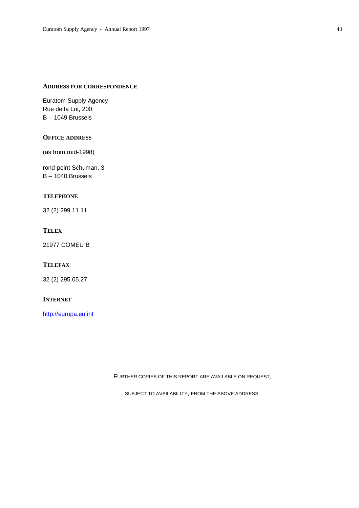# **ADDRESS FOR CORRESPONDENCE**

Euratom Supply Agency Rue de la Loi, 200 B – 1049 Brussels

# **OFFICE ADDRESS**

(as from mid-1998)

rond-point Schuman, 3 B – 1040 Brussels

# **TELEPHONE**

32 (2) 299.11.11

# **TELEX**

21977 COMEU B

# **TELEFAX**

32 (2) 295.05.27

#### **INTERNET**

http://europa.eu.int

FURTHER COPIES OF THIS REPORT ARE AVAILABLE ON REQUEST,

SUBJECT TO AVAILABILITY, FROM THE ABOVE ADDRESS.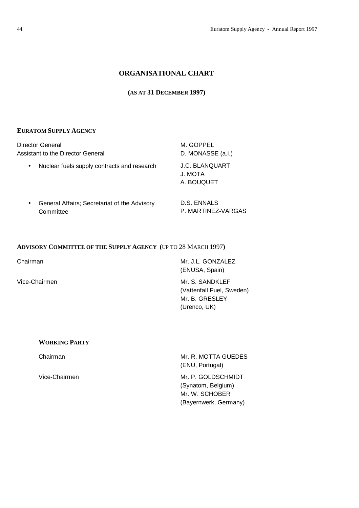# **ORGANISATIONAL CHART**

# **(AS AT 31 DECEMBER 1997)**

# **EURATOM SUPPLY AGENCY**

| Director General<br>Assistant to the Director General                  | M. GOPPEL<br>D. MONASSE (a.i.)          |
|------------------------------------------------------------------------|-----------------------------------------|
| Nuclear fuels supply contracts and research<br>$\bullet$               | J.C. BLANQUART<br>J. MOTA<br>A. BOUQUET |
| General Affairs; Secretariat of the Advisory<br>$\bullet$<br>Committee | D.S. ENNALS<br>P. MARTINEZ-VARGAS       |

# **ADVISORY COMMITTEE OF THE SUPPLY AGENCY (**UP TO 28 MARCH 1997**)**

Chairman Mr. J.L. GONZALEZ (ENUSA, Spain)

Vice-Chairmen Mr. S. SANDKLEF (Vattenfall Fuel, Sweden) Mr. B. GRESLEY (Urenco, UK)

#### **WORKING PARTY**

Chairman Mr. R. MOTTA GUEDES (ENU, Portugal)

Vice-Chairmen Mr. P. GOLDSCHMIDT (Synatom, Belgium) Mr. W. SCHOBER (Bayernwerk, Germany)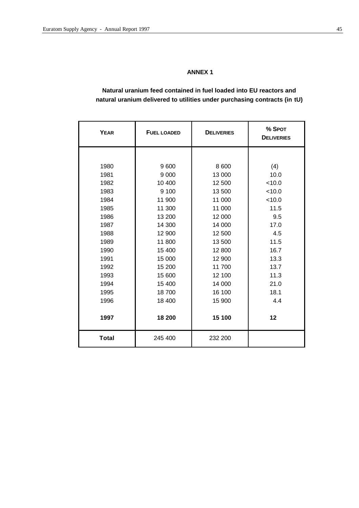# **ANNEX 1**

# **Natural uranium feed contained in fuel loaded into EU reactors and natural uranium delivered to utilities under purchasing contracts (in tU)**

| <b>YEAR</b>  | <b>FUEL LOADED</b> | <b>DELIVERIES</b> | % SPOT<br><b>DELIVERIES</b> |
|--------------|--------------------|-------------------|-----------------------------|
|              |                    |                   |                             |
| 1980         | 9600               | 8 600             | (4)                         |
| 1981         | 9 0 0 0            | 13 000            | 10.0                        |
| 1982         | 10 400             | 12 500            | < 10.0                      |
| 1983         | 9 100              | 13 500            | < 10.0                      |
| 1984         | 11 900             | 11 000            | < 10.0                      |
| 1985         | 11 300             | 11 000            | 11.5                        |
| 1986         | 13 200             | 12 000            | 9.5                         |
| 1987         | 14 300             | 14 000            | 17.0                        |
| 1988         | 12 900             | 12 500            | 4.5                         |
| 1989         | 11 800             | 13 500            | 11.5                        |
| 1990         | 15 400             | 12 800            | 16.7                        |
| 1991         | 15 000             | 12 900            | 13.3                        |
| 1992         | 15 200             | 11 700            | 13.7                        |
| 1993         | 15 600             | 12 100            | 11.3                        |
| 1994         | 15 400             | 14 000            | 21.0                        |
| 1995         | 18700              | 16 100            | 18.1                        |
| 1996         | 18 400             | 15 900            | 4.4                         |
|              |                    |                   |                             |
| 1997         | 18 200             | 15 100            | 12                          |
| <b>Total</b> | 245 400            | 232 200           |                             |